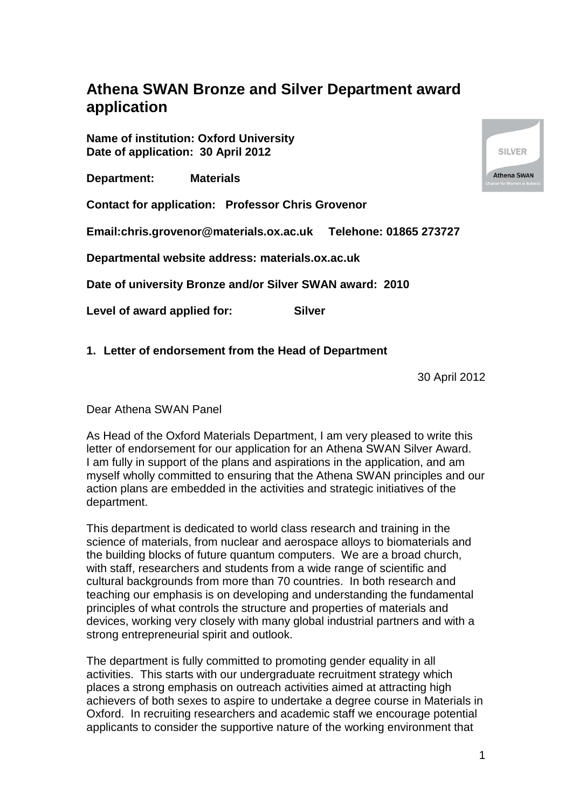# **Athena SWAN Bronze and Silver Department award application**

**Name of institution: Oxford University Date of application: 30 April 2012**

**Department: Materials**

**Contact for application: Professor Chris Grovenor**

**Email:chris.grovenor@materials.ox.ac.uk Telehone: 01865 273727**

**Departmental website address: materials.ox.ac.uk**

**Date of university Bronze and/or Silver SWAN award: 2010**

**Level of award applied for: Silver**

## **1. Letter of endorsement from the Head of Department**

30 April 2012

Dear Athena SWAN Panel

As Head of the Oxford Materials Department, I am very pleased to write this letter of endorsement for our application for an Athena SWAN Silver Award. I am fully in support of the plans and aspirations in the application, and am myself wholly committed to ensuring that the Athena SWAN principles and our action plans are embedded in the activities and strategic initiatives of the department.

This department is dedicated to world class research and training in the science of materials, from nuclear and aerospace alloys to biomaterials and the building blocks of future quantum computers. We are a broad church, with staff, researchers and students from a wide range of scientific and cultural backgrounds from more than 70 countries. In both research and teaching our emphasis is on developing and understanding the fundamental principles of what controls the structure and properties of materials and devices, working very closely with many global industrial partners and with a strong entrepreneurial spirit and outlook.

The department is fully committed to promoting gender equality in all activities. This starts with our undergraduate recruitment strategy which places a strong emphasis on outreach activities aimed at attracting high achievers of both sexes to aspire to undertake a degree course in Materials in Oxford. In recruiting researchers and academic staff we encourage potential applicants to consider the supportive nature of the working environment that

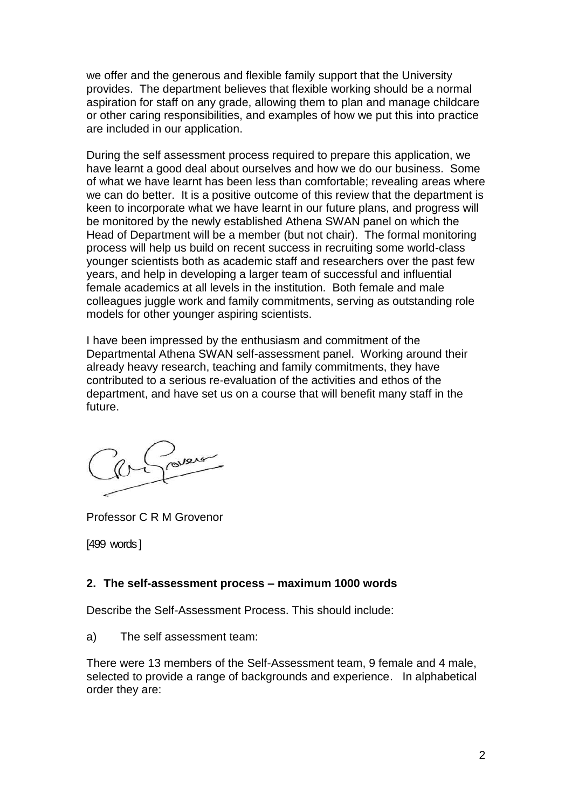we offer and the generous and flexible family support that the University provides. The department believes that flexible working should be a normal aspiration for staff on any grade, allowing them to plan and manage childcare or other caring responsibilities, and examples of how we put this into practice are included in our application.

During the self assessment process required to prepare this application, we have learnt a good deal about ourselves and how we do our business. Some of what we have learnt has been less than comfortable; revealing areas where we can do better. It is a positive outcome of this review that the department is keen to incorporate what we have learnt in our future plans, and progress will be monitored by the newly established Athena SWAN panel on which the Head of Department will be a member (but not chair). The formal monitoring process will help us build on recent success in recruiting some world-class younger scientists both as academic staff and researchers over the past few years, and help in developing a larger team of successful and influential female academics at all levels in the institution. Both female and male colleagues juggle work and family commitments, serving as outstanding role models for other younger aspiring scientists.

I have been impressed by the enthusiasm and commitment of the Departmental Athena SWAN self-assessment panel. Working around their already heavy research, teaching and family commitments, they have contributed to a serious re-evaluation of the activities and ethos of the department, and have set us on a course that will benefit many staff in the future.

Professor C R M Grovenor

[499 words ]

#### **2. The self-assessment process – maximum 1000 words**

Describe the Self-Assessment Process. This should include:

a) The self assessment team:

There were 13 members of the Self-Assessment team, 9 female and 4 male, selected to provide a range of backgrounds and experience. In alphabetical order they are: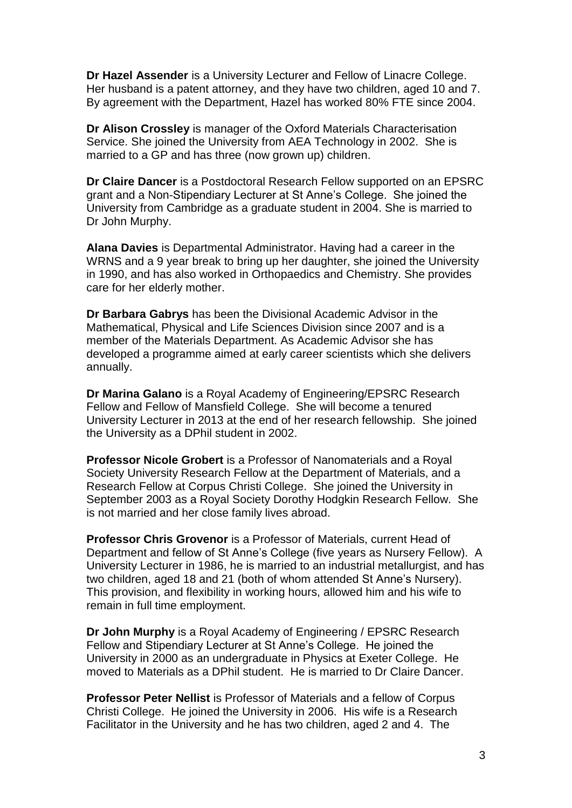**Dr Hazel Assender** is a University Lecturer and Fellow of Linacre College. Her husband is a patent attorney, and they have two children, aged 10 and 7. By agreement with the Department, Hazel has worked 80% FTE since 2004.

**Dr Alison Crossley** is manager of the Oxford Materials Characterisation Service. She joined the University from AEA Technology in 2002. She is married to a GP and has three (now grown up) children.

**Dr Claire Dancer** is a Postdoctoral Research Fellow supported on an EPSRC grant and a Non-Stipendiary Lecturer at St Anne's College. She joined the University from Cambridge as a graduate student in 2004. She is married to Dr John Murphy.

**Alana Davies** is Departmental Administrator. Having had a career in the WRNS and a 9 year break to bring up her daughter, she joined the University in 1990, and has also worked in Orthopaedics and Chemistry. She provides care for her elderly mother.

**Dr Barbara Gabrys** has been the Divisional Academic Advisor in the Mathematical, Physical and Life Sciences Division since 2007 and is a member of the Materials Department. As Academic Advisor she has developed a programme aimed at early career scientists which she delivers annually.

**Dr Marina Galano** is a Royal Academy of Engineering/EPSRC Research Fellow and Fellow of Mansfield College. She will become a tenured University Lecturer in 2013 at the end of her research fellowship. She joined the University as a DPhil student in 2002.

**Professor Nicole Grobert** is a Professor of Nanomaterials and a Royal Society University Research Fellow at the Department of Materials, and a Research Fellow at Corpus Christi College. She joined the University in September 2003 as a Royal Society Dorothy Hodgkin Research Fellow. She is not married and her close family lives abroad.

**Professor Chris Grovenor** is a Professor of Materials, current Head of Department and fellow of St Anne's College (five years as Nursery Fellow). A University Lecturer in 1986, he is married to an industrial metallurgist, and has two children, aged 18 and 21 (both of whom attended St Anne's Nursery). This provision, and flexibility in working hours, allowed him and his wife to remain in full time employment.

**Dr John Murphy** is a Royal Academy of Engineering / EPSRC Research Fellow and Stipendiary Lecturer at St Anne's College. He joined the University in 2000 as an undergraduate in Physics at Exeter College. He moved to Materials as a DPhil student. He is married to Dr Claire Dancer.

**Professor Peter Nellist** is Professor of Materials and a fellow of Corpus Christi College. He joined the University in 2006. His wife is a Research Facilitator in the University and he has two children, aged 2 and 4. The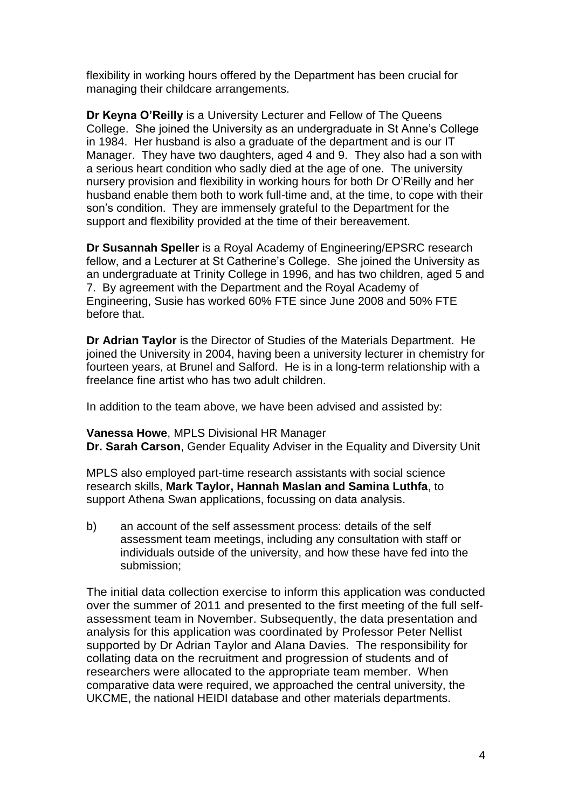flexibility in working hours offered by the Department has been crucial for managing their childcare arrangements.

**Dr Keyna O'Reilly** is a University Lecturer and Fellow of The Queens College. She joined the University as an undergraduate in St Anne's College in 1984. Her husband is also a graduate of the department and is our IT Manager. They have two daughters, aged 4 and 9. They also had a son with a serious heart condition who sadly died at the age of one. The university nursery provision and flexibility in working hours for both Dr O'Reilly and her husband enable them both to work full-time and, at the time, to cope with their son's condition. They are immensely grateful to the Department for the support and flexibility provided at the time of their bereavement.

**Dr Susannah Speller** is a Royal Academy of Engineering/EPSRC research fellow, and a Lecturer at St Catherine's College. She joined the University as an undergraduate at Trinity College in 1996, and has two children, aged 5 and 7. By agreement with the Department and the Royal Academy of Engineering, Susie has worked 60% FTE since June 2008 and 50% FTE before that.

**Dr Adrian Taylor** is the Director of Studies of the Materials Department. He joined the University in 2004, having been a university lecturer in chemistry for fourteen years, at Brunel and Salford. He is in a long-term relationship with a freelance fine artist who has two adult children.

In addition to the team above, we have been advised and assisted by:

**Vanessa Howe**, MPLS Divisional HR Manager

**Dr. Sarah Carson**, Gender Equality Adviser in the Equality and Diversity Unit

MPLS also employed part-time research assistants with social science research skills, **Mark Taylor, Hannah Maslan and Samina Luthfa**, to support Athena Swan applications, focussing on data analysis.

b) an account of the self assessment process: details of the self assessment team meetings, including any consultation with staff or individuals outside of the university, and how these have fed into the submission;

The initial data collection exercise to inform this application was conducted over the summer of 2011 and presented to the first meeting of the full selfassessment team in November. Subsequently, the data presentation and analysis for this application was coordinated by Professor Peter Nellist supported by Dr Adrian Taylor and Alana Davies. The responsibility for collating data on the recruitment and progression of students and of researchers were allocated to the appropriate team member. When comparative data were required, we approached the central university, the UKCME, the national HEIDI database and other materials departments.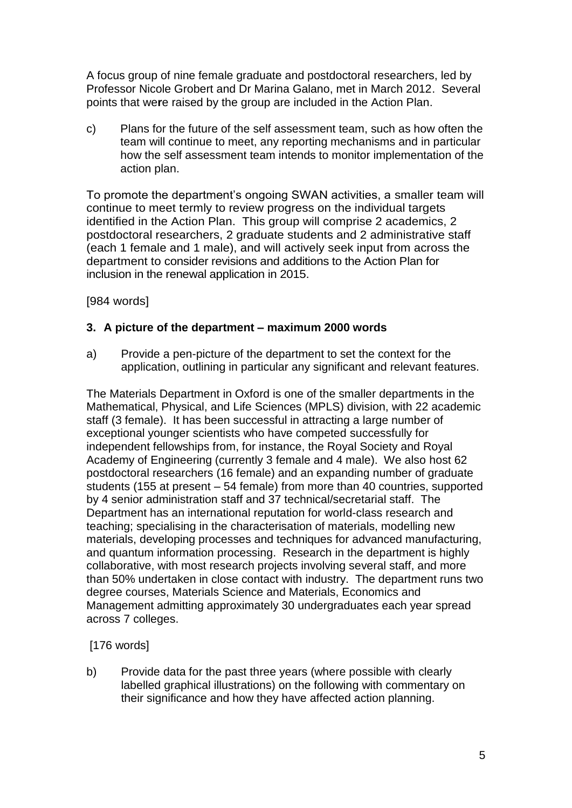A focus group of nine female graduate and postdoctoral researchers, led by Professor Nicole Grobert and Dr Marina Galano, met in March 2012. Several points that we**r**e raised by the group are included in the Action Plan.

c) Plans for the future of the self assessment team, such as how often the team will continue to meet, any reporting mechanisms and in particular how the self assessment team intends to monitor implementation of the action plan.

To promote the department's ongoing SWAN activities, a smaller team will continue to meet termly to review progress on the individual targets identified in the Action Plan. This group will comprise 2 academics, 2 postdoctoral researchers, 2 graduate students and 2 administrative staff (each 1 female and 1 male), and will actively seek input from across the department to consider revisions and additions to the Action Plan for inclusion in the renewal application in 2015.

[984 words]

## **3. A picture of the department – maximum 2000 words**

a) Provide a pen-picture of the department to set the context for the application, outlining in particular any significant and relevant features.

The Materials Department in Oxford is one of the smaller departments in the Mathematical, Physical, and Life Sciences (MPLS) division, with 22 academic staff (3 female). It has been successful in attracting a large number of exceptional younger scientists who have competed successfully for independent fellowships from, for instance, the Royal Society and Royal Academy of Engineering (currently 3 female and 4 male). We also host 62 postdoctoral researchers (16 female) and an expanding number of graduate students (155 at present – 54 female) from more than 40 countries, supported by 4 senior administration staff and 37 technical/secretarial staff. The Department has an international reputation for world-class research and teaching; specialising in the characterisation of materials, modelling new materials, developing processes and techniques for advanced manufacturing, and quantum information processing. Research in the department is highly collaborative, with most research projects involving several staff, and more than 50% undertaken in close contact with industry. The department runs two degree courses, Materials Science and Materials, Economics and Management admitting approximately 30 undergraduates each year spread across 7 colleges.

[176 words]

b) Provide data for the past three years (where possible with clearly labelled graphical illustrations) on the following with commentary on their significance and how they have affected action planning.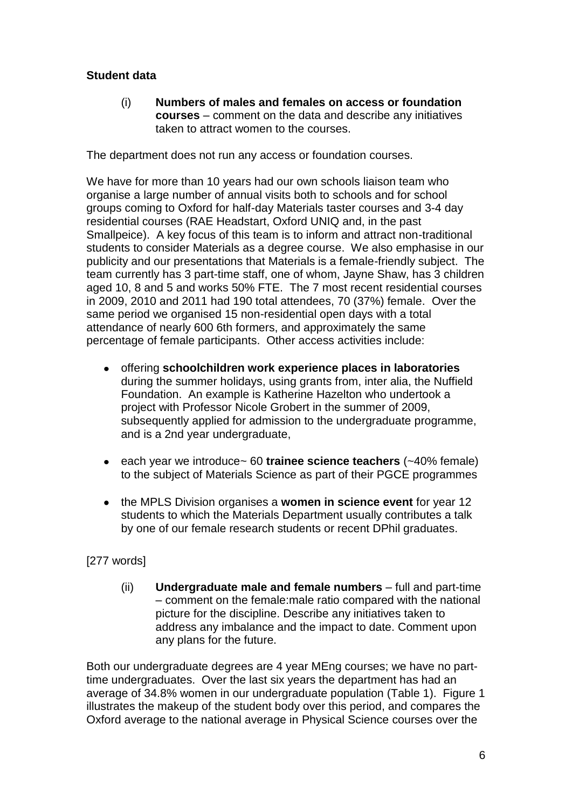## **Student data**

(i) **Numbers of males and females on access or foundation courses** – comment on the data and describe any initiatives taken to attract women to the courses.

The department does not run any access or foundation courses.

We have for more than 10 years had our own schools liaison team who organise a large number of annual visits both to schools and for school groups coming to Oxford for half-day Materials taster courses and 3-4 day residential courses (RAE Headstart, Oxford UNIQ and, in the past Smallpeice). A key focus of this team is to inform and attract non-traditional students to consider Materials as a degree course. We also emphasise in our publicity and our presentations that Materials is a female-friendly subject. The team currently has 3 part-time staff, one of whom, Jayne Shaw, has 3 children aged 10, 8 and 5 and works 50% FTE. The 7 most recent residential courses in 2009, 2010 and 2011 had 190 total attendees, 70 (37%) female. Over the same period we organised 15 non-residential open days with a total attendance of nearly 600 6th formers, and approximately the same percentage of female participants. Other access activities include:

- offering **schoolchildren work experience places in laboratories** during the summer holidays, using grants from, inter alia, the Nuffield Foundation. An example is Katherine Hazelton who undertook a project with Professor Nicole Grobert in the summer of 2009, subsequently applied for admission to the undergraduate programme, and is a 2nd year undergraduate,
- each year we introduce~ 60 **trainee science teachers** (~40% female) to the subject of Materials Science as part of their PGCE programmes
- the MPLS Division organises a **women in science event** for year 12  $\bullet$ students to which the Materials Department usually contributes a talk by one of our female research students or recent DPhil graduates.

## [277 words]

(ii) **Undergraduate male and female numbers** – full and part-time – comment on the female:male ratio compared with the national picture for the discipline. Describe any initiatives taken to address any imbalance and the impact to date. Comment upon any plans for the future.

Both our undergraduate degrees are 4 year MEng courses; we have no parttime undergraduates. Over the last six years the department has had an average of 34.8% women in our undergraduate population (Table 1). Figure 1 illustrates the makeup of the student body over this period, and compares the Oxford average to the national average in Physical Science courses over the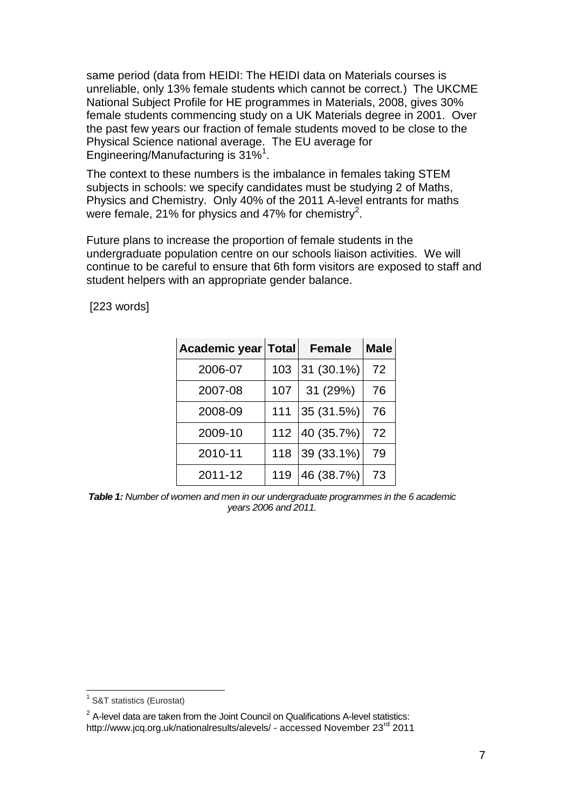same period (data from HEIDI: The HEIDI data on Materials courses is unreliable, only 13% female students which cannot be correct.) The UKCME National Subject Profile for HE programmes in Materials, 2008, gives 30% female students commencing study on a UK Materials degree in 2001. Over the past few years our fraction of female students moved to be close to the Physical Science national average. The EU average for Engineering/Manufacturing is 31%<sup>1</sup>.

The context to these numbers is the imbalance in females taking STEM subjects in schools: we specify candidates must be studying 2 of Maths, Physics and Chemistry. Only 40% of the 2011 A-level entrants for maths were female, 21% for physics and 47% for chemistry<sup>2</sup>.

Future plans to increase the proportion of female students in the undergraduate population centre on our schools liaison activities. We will continue to be careful to ensure that 6th form visitors are exposed to staff and student helpers with an appropriate gender balance.

[223 words]

| Academic year Total |     | <b>Female</b> | <b>Male</b> |
|---------------------|-----|---------------|-------------|
| 2006-07             | 103 | 31 (30.1%)    | 72          |
| 2007-08             | 107 | 31 (29%)      | 76          |
| 2008-09             | 111 | 35 (31.5%)    | 76          |
| 2009-10             | 112 | 40 (35.7%)    | 72          |
| 2010-11             | 118 | 39 (33.1%)    | 79          |
| 2011-12             | 119 | 46 (38.7%)    | 73          |

*Table 1: Number of women and men in our undergraduate programmes in the 6 academic years 2006 and 2011.*

<sup>1</sup> <sup>1</sup> S&T statistics (Eurostat)

 $2$  A-level data are taken from the Joint Council on Qualifications A-level statistics: <http://www.jcq.org.uk/nationalresults/alevels/> - accessed November 23<sup>rd</sup> 2011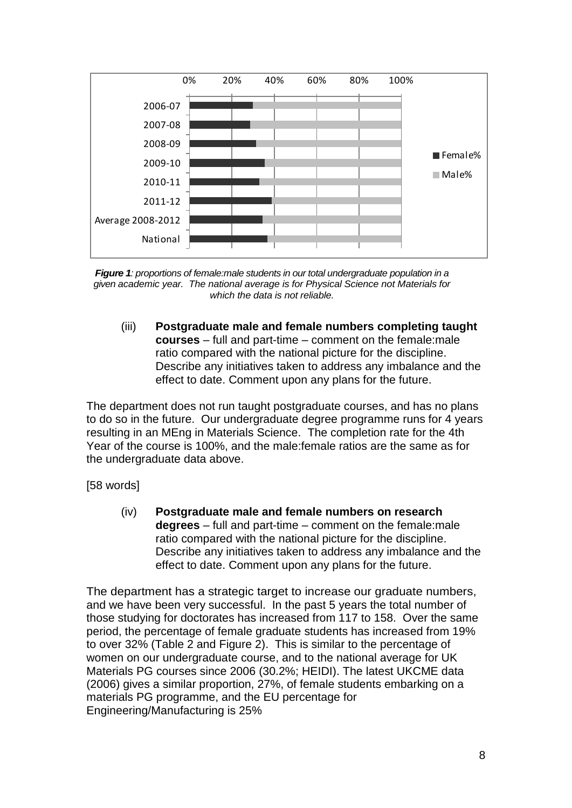

*Figure 1: proportions of female:male students in our total undergraduate population in a given academic year. The national average is for Physical Science not Materials for which the data is not reliable.*

(iii) **Postgraduate male and female numbers completing taught courses** – full and part-time – comment on the female:male ratio compared with the national picture for the discipline. Describe any initiatives taken to address any imbalance and the effect to date. Comment upon any plans for the future.

The department does not run taught postgraduate courses, and has no plans to do so in the future. Our undergraduate degree programme runs for 4 years resulting in an MEng in Materials Science. The completion rate for the 4th Year of the course is 100%, and the male:female ratios are the same as for the undergraduate data above.

[58 words]

(iv) **Postgraduate male and female numbers on research degrees** – full and part-time – comment on the female:male ratio compared with the national picture for the discipline. Describe any initiatives taken to address any imbalance and the effect to date. Comment upon any plans for the future.

The department has a strategic target to increase our graduate numbers, and we have been very successful. In the past 5 years the total number of those studying for doctorates has increased from 117 to 158. Over the same period, the percentage of female graduate students has increased from 19% to over 32% (Table 2 and Figure 2). This is similar to the percentage of women on our undergraduate course, and to the national average for UK Materials PG courses since 2006 (30.2%; HEIDI). The latest UKCME data (2006) gives a similar proportion, 27%, of female students embarking on a materials PG programme, and the EU percentage for Engineering/Manufacturing is 25%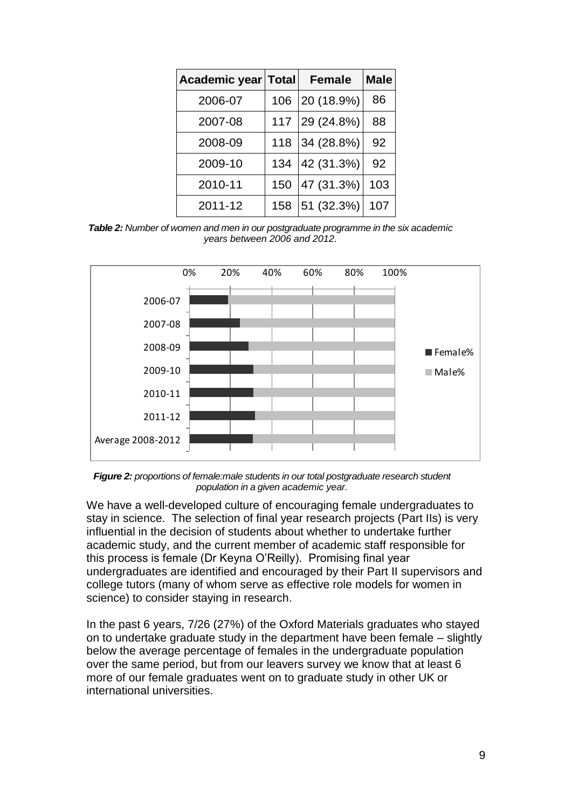| Academic year Total |     | <b>Female</b> | <b>Male</b> |
|---------------------|-----|---------------|-------------|
| 2006-07             | 106 | 20 (18.9%)    | 86          |
| 2007-08             | 117 | 29 (24.8%)    | 88          |
| 2008-09             | 118 | 34 (28.8%)    | 92          |
| 2009-10             | 134 | 42 (31.3%)    | 92          |
| 2010-11             | 150 | 47 (31.3%)    | 103         |
| 2011-12             | 158 | 51 (32.3%)    | 107         |

*Table 2: Number of women and men in our postgraduate programme in the six academic years between 2006 and 2012.*



*Figure 2: proportions of female:male students in our total postgraduate research student population in a given academic year.*

We have a well-developed culture of encouraging female undergraduates to stay in science. The selection of final year research projects (Part IIs) is very influential in the decision of students about whether to undertake further academic study, and the current member of academic staff responsible for this process is female (Dr Keyna O'Reilly). Promising final year undergraduates are identified and encouraged by their Part II supervisors and college tutors (many of whom serve as effective role models for women in science) to consider staying in research.

In the past 6 years, 7/26 (27%) of the Oxford Materials graduates who stayed on to undertake graduate study in the department have been female – slightly below the average percentage of females in the undergraduate population over the same period, but from our leavers survey we know that at least 6 more of our female graduates went on to graduate study in other UK or international universities.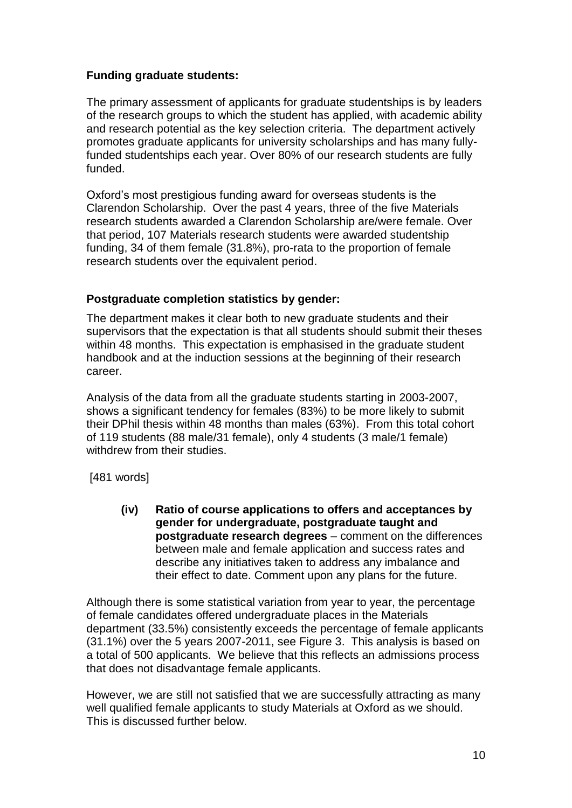## **Funding graduate students:**

The primary assessment of applicants for graduate studentships is by leaders of the research groups to which the student has applied, with academic ability and research potential as the key selection criteria. The department actively promotes graduate applicants for university scholarships and has many fullyfunded studentships each year. Over 80% of our research students are fully funded.

Oxford's most prestigious funding award for overseas students is the Clarendon Scholarship. Over the past 4 years, three of the five Materials research students awarded a Clarendon Scholarship are/were female. Over that period, 107 Materials research students were awarded studentship funding, 34 of them female (31.8%), pro-rata to the proportion of female research students over the equivalent period.

## **Postgraduate completion statistics by gender:**

The department makes it clear both to new graduate students and their supervisors that the expectation is that all students should submit their theses within 48 months. This expectation is emphasised in the graduate student handbook and at the induction sessions at the beginning of their research career.

Analysis of the data from all the graduate students starting in 2003-2007, shows a significant tendency for females (83%) to be more likely to submit their DPhil thesis within 48 months than males (63%). From this total cohort of 119 students (88 male/31 female), only 4 students (3 male/1 female) withdrew from their studies

[481 words]

**(iv) Ratio of course applications to offers and acceptances by gender for undergraduate, postgraduate taught and postgraduate research degrees** – comment on the differences between male and female application and success rates and describe any initiatives taken to address any imbalance and their effect to date. Comment upon any plans for the future.

Although there is some statistical variation from year to year, the percentage of female candidates offered undergraduate places in the Materials department (33.5%) consistently exceeds the percentage of female applicants (31.1%) over the 5 years 2007-2011, see Figure 3. This analysis is based on a total of 500 applicants. We believe that this reflects an admissions process that does not disadvantage female applicants.

However, we are still not satisfied that we are successfully attracting as many well qualified female applicants to study Materials at Oxford as we should. This is discussed further below.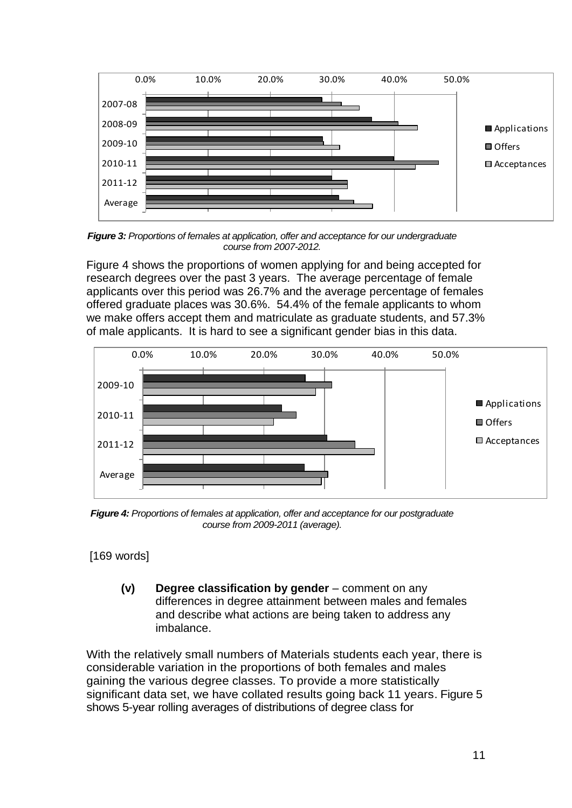

*Figure 3: Proportions of females at application, offer and acceptance for our undergraduate course from 2007-2012.*

Figure 4 shows the proportions of women applying for and being accepted for research degrees over the past 3 years. The average percentage of female applicants over this period was 26.7% and the average percentage of females offered graduate places was 30.6%. 54.4% of the female applicants to whom we make offers accept them and matriculate as graduate students, and 57.3% of male applicants. It is hard to see a significant gender bias in this data.



*Figure 4: Proportions of females at application, offer and acceptance for our postgraduate course from 2009-2011 (average).*

[169 words]

**(v) Degree classification by gender** – comment on any differences in degree attainment between males and females and describe what actions are being taken to address any imbalance.

With the relatively small numbers of Materials students each year, there is considerable variation in the proportions of both females and males gaining the various degree classes. To provide a more statistically significant data set, we have collated results going back 11 years. Figure 5 shows 5-year rolling averages of distributions of degree class for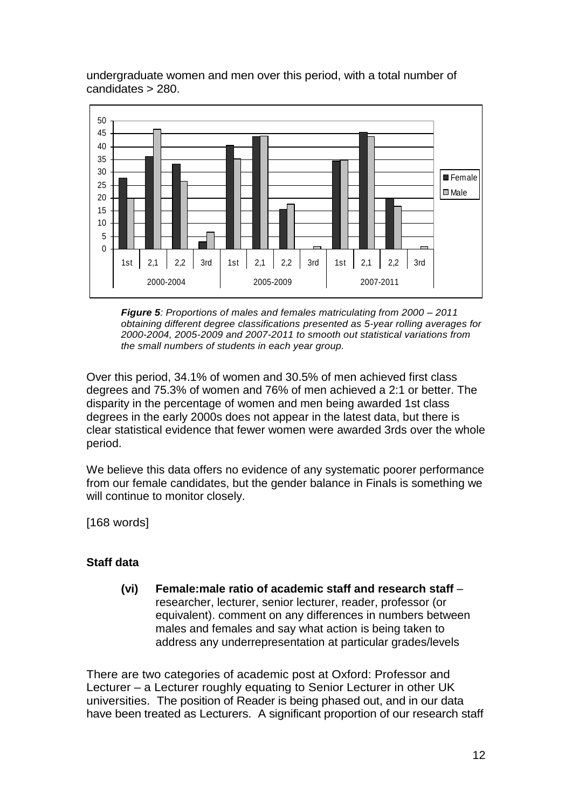undergraduate women and men over this period, with a total number of candidates > 280.



*Figure 5: Proportions of males and females matriculating from 2000 – 2011 obtaining different degree classifications presented as 5-year rolling averages for 2000-2004, 2005-2009 and 2007-2011 to smooth out statistical variations from the small numbers of students in each year group.* 

Over this period, 34.1% of women and 30.5% of men achieved first class degrees and 75.3% of women and 76% of men achieved a 2:1 or better. The disparity in the percentage of women and men being awarded 1st class degrees in the early 2000s does not appear in the latest data, but there is clear statistical evidence that fewer women were awarded 3rds over the whole period.

We believe this data offers no evidence of any systematic poorer performance from our female candidates, but the gender balance in Finals is something we will continue to monitor closely.

[168 words]

## **Staff data**

**(vi) Female:male ratio of academic staff and research staff** – researcher, lecturer, senior lecturer, reader, professor (or equivalent). comment on any differences in numbers between males and females and say what action is being taken to address any underrepresentation at particular grades/levels

There are two categories of academic post at Oxford: Professor and Lecturer – a Lecturer roughly equating to Senior Lecturer in other UK universities. The position of Reader is being phased out, and in our data have been treated as Lecturers. A significant proportion of our research staff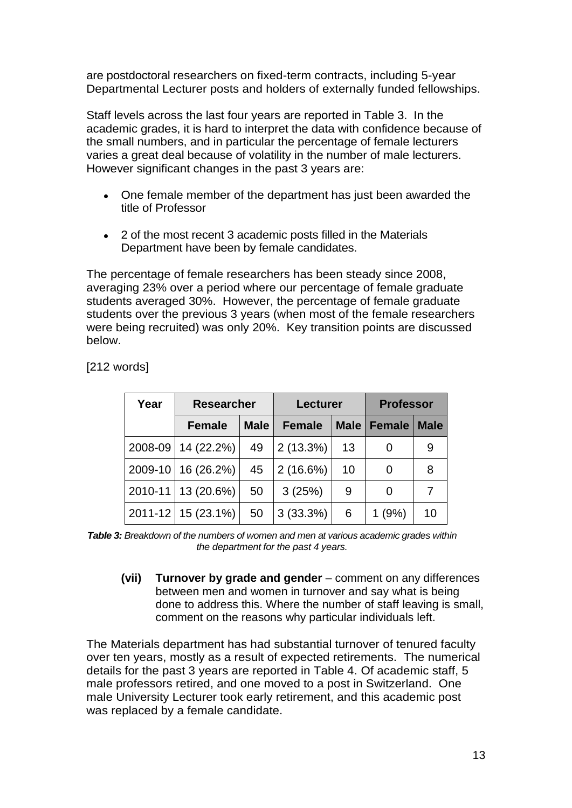are postdoctoral researchers on fixed-term contracts, including 5-year Departmental Lecturer posts and holders of externally funded fellowships.

Staff levels across the last four years are reported in Table 3. In the academic grades, it is hard to interpret the data with confidence because of the small numbers, and in particular the percentage of female lecturers varies a great deal because of volatility in the number of male lecturers. However significant changes in the past 3 years are:

- One female member of the department has just been awarded the  $\bullet$ title of Professor
- 2 of the most recent 3 academic posts filled in the Materials Department have been by female candidates.

The percentage of female researchers has been steady since 2008, averaging 23% over a period where our percentage of female graduate students averaged 30%. However, the percentage of female graduate students over the previous 3 years (when most of the female researchers were being recruited) was only 20%. Key transition points are discussed below.

| Year    | <b>Researcher</b>      |             | <b>Lecturer</b> |             | <b>Professor</b> |             |  |
|---------|------------------------|-------------|-----------------|-------------|------------------|-------------|--|
|         | <b>Female</b>          | <b>Male</b> | <b>Female</b>   | <b>Male</b> | <b>Female</b>    | <b>Male</b> |  |
| 2008-09 | 14 (22.2%)             | 49          | $2(13.3\%)$     | 13          |                  | 9           |  |
|         | 2009-10   16 (26.2%)   | 45          | 2(16.6%)        | 10          | 0                | 8           |  |
|         | 2010-11   13 (20.6%)   | 50          | 3(25%)          | 9           | 0                |             |  |
|         | $2011 - 12$ 15 (23.1%) | 50          | 3(33.3%)        | 6           | (9%)             | 10          |  |

[212 words]

*Table 3: Breakdown of the numbers of women and men at various academic grades within the department for the past 4 years.*

**(vii) Turnover by grade and gender** – comment on any differences between men and women in turnover and say what is being done to address this. Where the number of staff leaving is small, comment on the reasons why particular individuals left.

The Materials department has had substantial turnover of tenured faculty over ten years, mostly as a result of expected retirements. The numerical details for the past 3 years are reported in Table 4. Of academic staff, 5 male professors retired, and one moved to a post in Switzerland. One male University Lecturer took early retirement, and this academic post was replaced by a female candidate.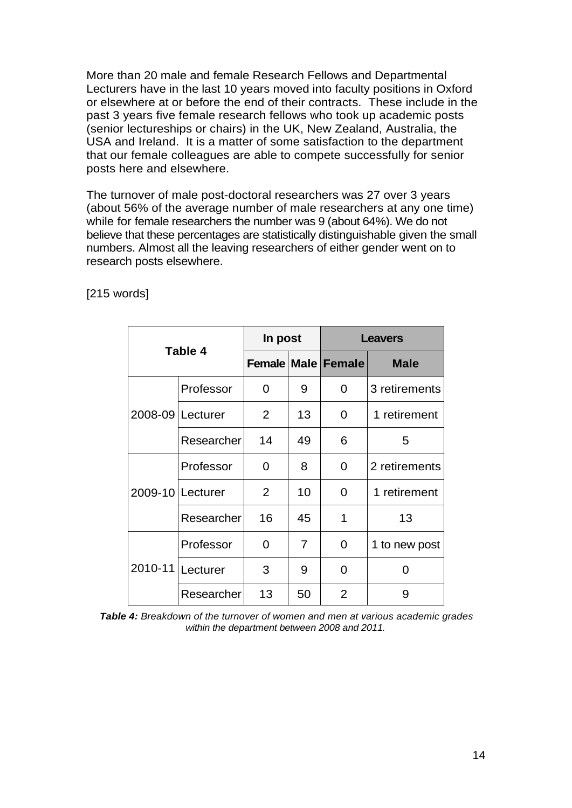More than 20 male and female Research Fellows and Departmental Lecturers have in the last 10 years moved into faculty positions in Oxford or elsewhere at or before the end of their contracts. These include in the past 3 years five female research fellows who took up academic posts (senior lectureships or chairs) in the UK, New Zealand, Australia, the USA and Ireland. It is a matter of some satisfaction to the department that our female colleagues are able to compete successfully for senior posts here and elsewhere.

The turnover of male post-doctoral researchers was 27 over 3 years (about 56% of the average number of male researchers at any one time) while for female researchers the number was 9 (about 64%). We do not believe that these percentages are statistically distinguishable given the small numbers. Almost all the leaving researchers of either gender went on to research posts elsewhere.

|         |                    | In post     |                | <b>Leavers</b>            |               |  |
|---------|--------------------|-------------|----------------|---------------------------|---------------|--|
|         | Table 4            |             |                | <b>Female Male Female</b> | <b>Male</b>   |  |
|         | Professor          | $\mathbf 0$ | 9              | 0                         | 3 retirements |  |
|         | 2008-09 Lecturer   | 2           | 13             | 0                         | 1 retirement  |  |
|         | Researcher         | 14          | 49             | 6                         | 5             |  |
|         | Professor          | 0           | 8              | 0                         | 2 retirements |  |
|         | 2009-10   Lecturer | 2           | 10             | 0                         | 1 retirement  |  |
|         | Researcher         | 16          | 45             | 1                         | 13            |  |
|         | Professor          | 0           | $\overline{7}$ | 0                         | 1 to new post |  |
| 2010-11 | Lecturer           | 3           | 9              | 0                         | ი             |  |
|         | Researcher         | 13          | 50             | $\overline{2}$            | 9             |  |

[215 words]

*Table 4: Breakdown of the turnover of women and men at various academic grades within the department between 2008 and 2011.*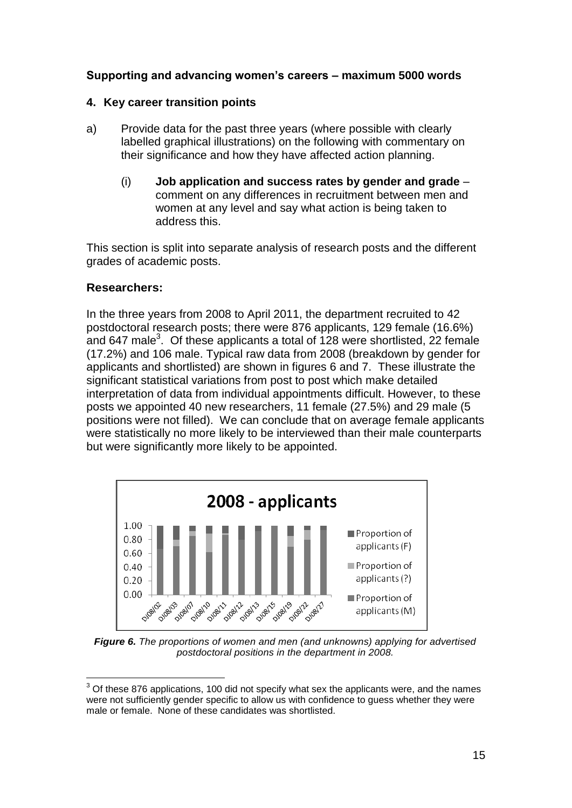## **Supporting and advancing women's careers – maximum 5000 words**

#### **4. Key career transition points**

- a) Provide data for the past three years (where possible with clearly labelled graphical illustrations) on the following with commentary on their significance and how they have affected action planning.
	- (i) **Job application and success rates by gender and grade** comment on any differences in recruitment between men and women at any level and say what action is being taken to address this.

This section is split into separate analysis of research posts and the different grades of academic posts.

#### **Researchers:**

1

In the three years from 2008 to April 2011, the department recruited to 42 postdoctoral research posts; there were 876 applicants, 129 female (16.6%) and 647 male<sup>3</sup>. Of these applicants a total of 128 were shortlisted, 22 female (17.2%) and 106 male. Typical raw data from 2008 (breakdown by gender for applicants and shortlisted) are shown in figures 6 and 7. These illustrate the significant statistical variations from post to post which make detailed interpretation of data from individual appointments difficult. However, to these posts we appointed 40 new researchers, 11 female (27.5%) and 29 male (5 positions were not filled). We can conclude that on average female applicants were statistically no more likely to be interviewed than their male counterparts but were significantly more likely to be appointed.



*Figure 6. The proportions of women and men (and unknowns) applying for advertised postdoctoral positions in the department in 2008.*

 $3$  Of these 876 applications, 100 did not specify what sex the applicants were, and the names were not sufficiently gender specific to allow us with confidence to guess whether they were male or female. None of these candidates was shortlisted.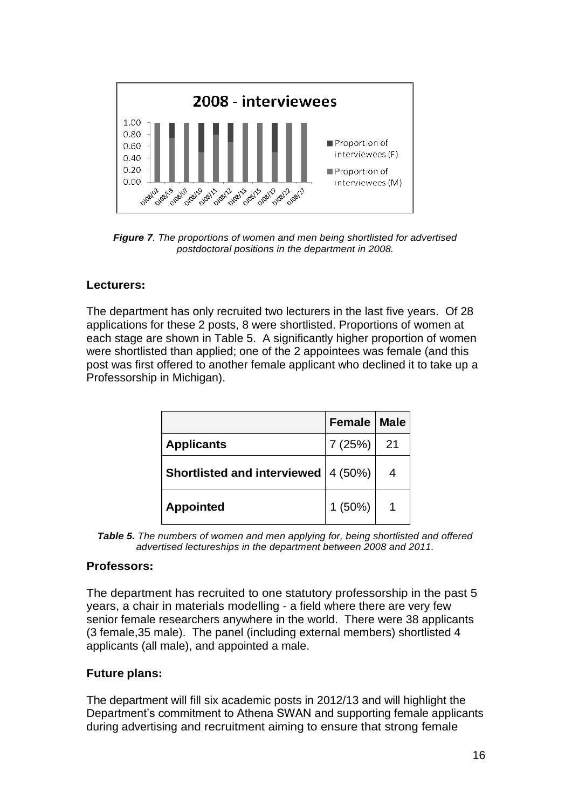

*Figure 7. The proportions of women and men being shortlisted for advertised postdoctoral positions in the department in 2008.*

## **Lecturers:**

The department has only recruited two lecturers in the last five years. Of 28 applications for these 2 posts, 8 were shortlisted. Proportions of women at each stage are shown in Table 5. A significantly higher proportion of women were shortlisted than applied; one of the 2 appointees was female (and this post was first offered to another female applicant who declined it to take up a Professorship in Michigan).

|                                       | Female   Male |    |
|---------------------------------------|---------------|----|
| <b>Applicants</b>                     | 7(25%)        | 21 |
| Shortlisted and interviewed   4 (50%) |               |    |
| <b>Appointed</b>                      | $1(50\%)$     |    |

*Table 5. The numbers of women and men applying for, being shortlisted and offered advertised lectureships in the department between 2008 and 2011.*

#### **Professors:**

The department has recruited to one statutory professorship in the past 5 years, a chair in materials modelling - a field where there are very few senior female researchers anywhere in the world. There were 38 applicants (3 female,35 male). The panel (including external members) shortlisted 4 applicants (all male), and appointed a male.

#### **Future plans:**

The department will fill six academic posts in 2012/13 and will highlight the Department's commitment to Athena SWAN and supporting female applicants during advertising and recruitment aiming to ensure that strong female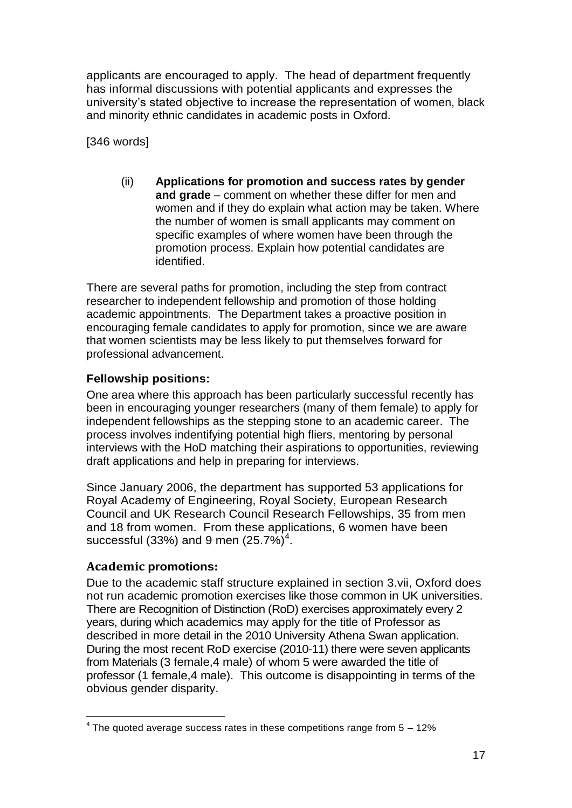applicants are encouraged to apply. The head of department frequently has informal discussions with potential applicants and expresses the university's stated objective to increase the representation of women, black and minority ethnic candidates in academic posts in Oxford.

[346 words]

(ii) **Applications for promotion and success rates by gender and grade** – comment on whether these differ for men and women and if they do explain what action may be taken. Where the number of women is small applicants may comment on specific examples of where women have been through the promotion process. Explain how potential candidates are identified.

There are several paths for promotion, including the step from contract researcher to independent fellowship and promotion of those holding academic appointments. The Department takes a proactive position in encouraging female candidates to apply for promotion, since we are aware that women scientists may be less likely to put themselves forward for professional advancement.

# **Fellowship positions:**

One area where this approach has been particularly successful recently has been in encouraging younger researchers (many of them female) to apply for independent fellowships as the stepping stone to an academic career. The process involves indentifying potential high fliers, mentoring by personal interviews with the HoD matching their aspirations to opportunities, reviewing draft applications and help in preparing for interviews.

Since January 2006, the department has supported 53 applications for Royal Academy of Engineering, Royal Society, European Research Council and UK Research Council Research Fellowships, 35 from men and 18 from women. From these applications, 6 women have been successful (33%) and 9 men  $(25.7\%)^4$ .

# **Academic promotions:**

Due to the academic staff structure explained in section 3.vii, Oxford does not run academic promotion exercises like those common in UK universities. There are Recognition of Distinction (RoD) exercises approximately every 2 years, during which academics may apply for the title of Professor as described in more detail in the 2010 University Athena Swan application. During the most recent RoD exercise (2010-11) there were seven applicants from Materials (3 female,4 male) of whom 5 were awarded the title of professor (1 female,4 male). This outcome is disappointing in terms of the obvious gender disparity.

<sup>1</sup>  $4$  The quoted average success rates in these competitions range from  $5 - 12\%$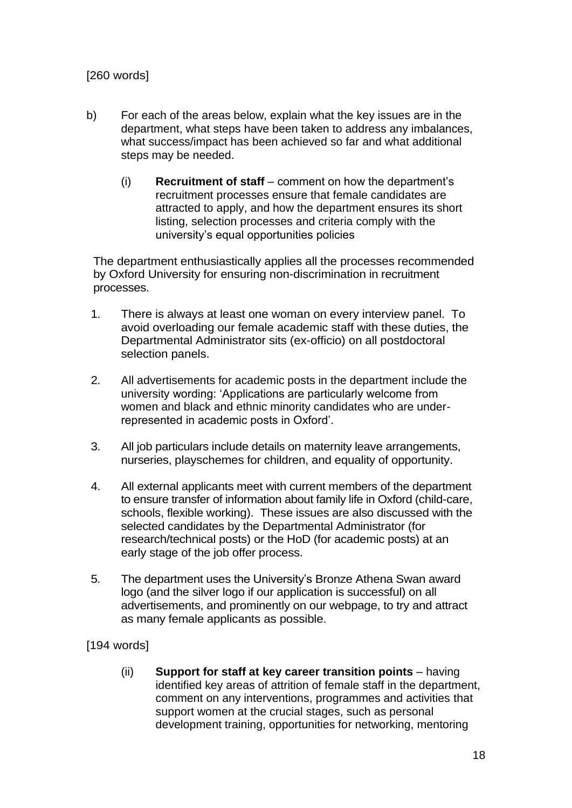# [260 words]

- b) For each of the areas below, explain what the key issues are in the department, what steps have been taken to address any imbalances, what success/impact has been achieved so far and what additional steps may be needed.
	- (i) **Recruitment of staff** comment on how the department's recruitment processes ensure that female candidates are attracted to apply, and how the department ensures its short listing, selection processes and criteria comply with the university's equal opportunities policies

The department enthusiastically applies all the processes recommended by Oxford University for ensuring non-discrimination in recruitment processes.

- 1. There is always at least one woman on every interview panel. To avoid overloading our female academic staff with these duties, the Departmental Administrator sits (ex-officio) on all postdoctoral selection panels.
- 2. All advertisements for academic posts in the department include the university wording: 'Applications are particularly welcome from women and black and ethnic minority candidates who are underrepresented in academic posts in Oxford'.
- 3. All job particulars include details on maternity leave arrangements, nurseries, playschemes for children, and equality of opportunity.
- 4. All external applicants meet with current members of the department to ensure transfer of information about family life in Oxford (child-care, schools, flexible working). These issues are also discussed with the selected candidates by the Departmental Administrator (for research/technical posts) or the HoD (for academic posts) at an early stage of the job offer process.
- 5. The department uses the University's Bronze Athena Swan award logo (and the silver logo if our application is successful) on all advertisements, and prominently on our webpage, to try and attract as many female applicants as possible.

[194 words]

(ii) **Support for staff at key career transition points** – having identified key areas of attrition of female staff in the department, comment on any interventions, programmes and activities that support women at the crucial stages, such as personal development training, opportunities for networking, mentoring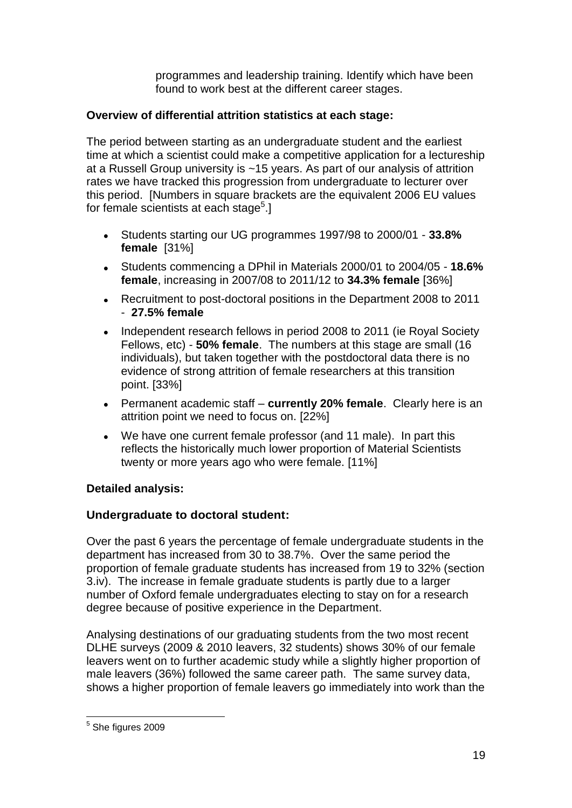programmes and leadership training. Identify which have been found to work best at the different career stages.

# **Overview of differential attrition statistics at each stage:**

The period between starting as an undergraduate student and the earliest time at which a scientist could make a competitive application for a lectureship at a Russell Group university is ~15 years. As part of our analysis of attrition rates we have tracked this progression from undergraduate to lecturer over this period. [Numbers in square brackets are the equivalent 2006 EU values for female scientists at each stage<sup>5</sup>.]

- Students starting our UG programmes 1997/98 to 2000/01 **33.8% female** [31%]
- Students commencing a DPhil in Materials 2000/01 to 2004/05 **18.6%**   $\bullet$ **female**, increasing in 2007/08 to 2011/12 to **34.3% female** [36%]
- Recruitment to post-doctoral positions in the Department 2008 to 2011  $\bullet$ - **27.5% female**
- Independent research fellows in period 2008 to 2011 (ie Royal Society Fellows, etc) - **50% female**. The numbers at this stage are small (16 individuals), but taken together with the postdoctoral data there is no evidence of strong attrition of female researchers at this transition point. [33%]
- Permanent academic staff **currently 20% female**. Clearly here is an attrition point we need to focus on. [22%]
- We have one current female professor (and 11 male). In part this  $\bullet$ reflects the historically much lower proportion of Material Scientists twenty or more years ago who were female. [11%]

## **Detailed analysis:**

## **Undergraduate to doctoral student:**

Over the past 6 years the percentage of female undergraduate students in the department has increased from 30 to 38.7%. Over the same period the proportion of female graduate students has increased from 19 to 32% (section 3.iv). The increase in female graduate students is partly due to a larger number of Oxford female undergraduates electing to stay on for a research degree because of positive experience in the Department.

Analysing destinations of our graduating students from the two most recent DLHE surveys (2009 & 2010 leavers, 32 students) shows 30% of our female leavers went on to further academic study while a slightly higher proportion of male leavers (36%) followed the same career path. The same survey data, shows a higher proportion of female leavers go immediately into work than the

 $\frac{5}{5}$  She figures 2009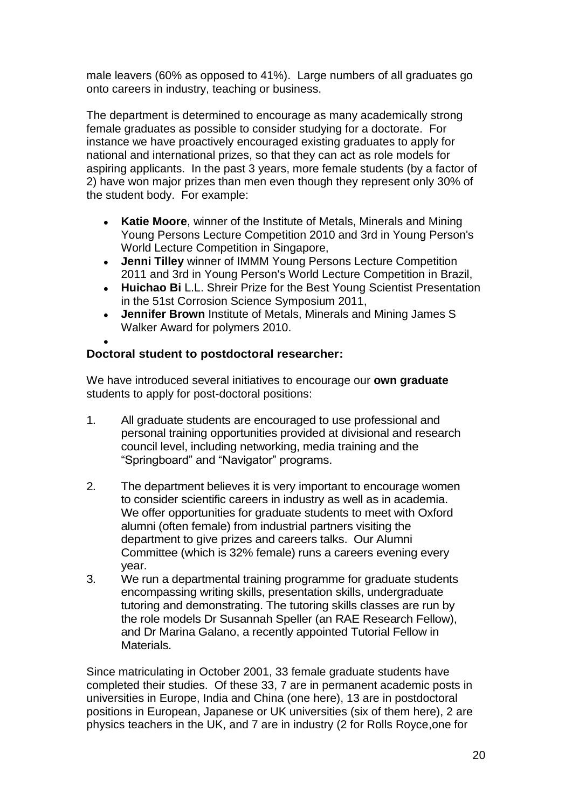male leavers (60% as opposed to 41%). Large numbers of all graduates go onto careers in industry, teaching or business.

The department is determined to encourage as many academically strong female graduates as possible to consider studying for a doctorate. For instance we have proactively encouraged existing graduates to apply for national and international prizes, so that they can act as role models for aspiring applicants. In the past 3 years, more female students (by a factor of 2) have won major prizes than men even though they represent only 30% of the student body. For example:

- **Katie Moore**, winner of the Institute of Metals, Minerals and Mining  $\bullet$ Young Persons Lecture Competition 2010 and 3rd in Young Person's World Lecture Competition in Singapore,
- **Jenni Tilley** winner of IMMM Young Persons Lecture Competition  $\bullet$ 2011 and 3rd in Young Person's World Lecture Competition in Brazil,
- **Huichao Bi** L.L. Shreir Prize for the Best Young Scientist Presentation in the 51st Corrosion Science Symposium 2011,
- **Jennifer Brown** Institute of Metals, Minerals and Mining James S  $\bullet$ Walker Award for polymers 2010.

# **Doctoral student to postdoctoral researcher:**

We have introduced several initiatives to encourage our **own graduate** students to apply for post-doctoral positions:

- 1. All graduate students are encouraged to use professional and personal training opportunities provided at divisional and research council level, including networking, media training and the "Springboard" and "Navigator" programs.
- 2. The department believes it is very important to encourage women to consider scientific careers in industry as well as in academia. We offer opportunities for graduate students to meet with Oxford alumni (often female) from industrial partners visiting the department to give prizes and careers talks. Our Alumni Committee (which is 32% female) runs a careers evening every year.
- 3. We run a departmental training programme for graduate students encompassing writing skills, presentation skills, undergraduate tutoring and demonstrating. The tutoring skills classes are run by the role models Dr Susannah Speller (an RAE Research Fellow), and Dr Marina Galano, a recently appointed Tutorial Fellow in Materials.

Since matriculating in October 2001, 33 female graduate students have completed their studies. Of these 33, 7 are in permanent academic posts in universities in Europe, India and China (one here), 13 are in postdoctoral positions in European, Japanese or UK universities (six of them here), 2 are physics teachers in the UK, and 7 are in industry (2 for Rolls Royce,one for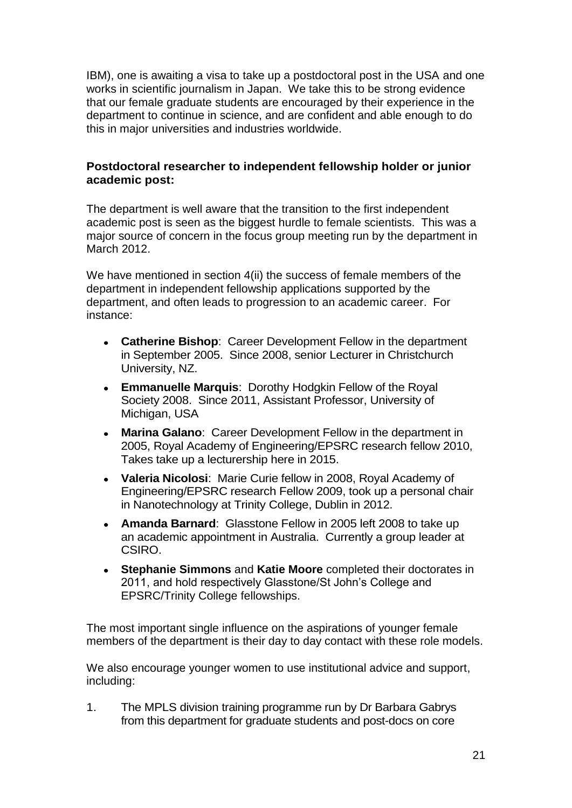IBM), one is awaiting a visa to take up a postdoctoral post in the USA and one works in scientific journalism in Japan. We take this to be strong evidence that our female graduate students are encouraged by their experience in the department to continue in science, and are confident and able enough to do this in major universities and industries worldwide.

## **Postdoctoral researcher to independent fellowship holder or junior academic post:**

The department is well aware that the transition to the first independent academic post is seen as the biggest hurdle to female scientists. This was a major source of concern in the focus group meeting run by the department in March 2012.

We have mentioned in section 4(ii) the success of female members of the department in independent fellowship applications supported by the department, and often leads to progression to an academic career. For instance:

- **Catherine Bishop**: Career Development Fellow in the department in September 2005. Since 2008, senior Lecturer in Christchurch University, NZ.
- **Emmanuelle Marquis**: Dorothy Hodgkin Fellow of the Royal  $\bullet$ Society 2008. Since 2011, Assistant Professor, University of Michigan, USA
- **Marina Galano**: Career Development Fellow in the department in 2005, Royal Academy of Engineering/EPSRC research fellow 2010, Takes take up a lecturership here in 2015.
- **Valeria Nicolosi**: Marie Curie fellow in 2008, Royal Academy of Engineering/EPSRC research Fellow 2009, took up a personal chair in Nanotechnology at Trinity College, Dublin in 2012.
- **Amanda Barnard**: Glasstone Fellow in 2005 left 2008 to take up  $\bullet$ an academic appointment in Australia. Currently a group leader at CSIRO.
- **Stephanie Simmons** and **Katie Moore** completed their doctorates in  $\bullet$ 2011, and hold respectively Glasstone/St John's College and EPSRC/Trinity College fellowships.

The most important single influence on the aspirations of younger female members of the department is their day to day contact with these role models.

We also encourage younger women to use institutional advice and support, including:

1. The MPLS division training programme run by Dr Barbara Gabrys from this department for graduate students and post-docs on core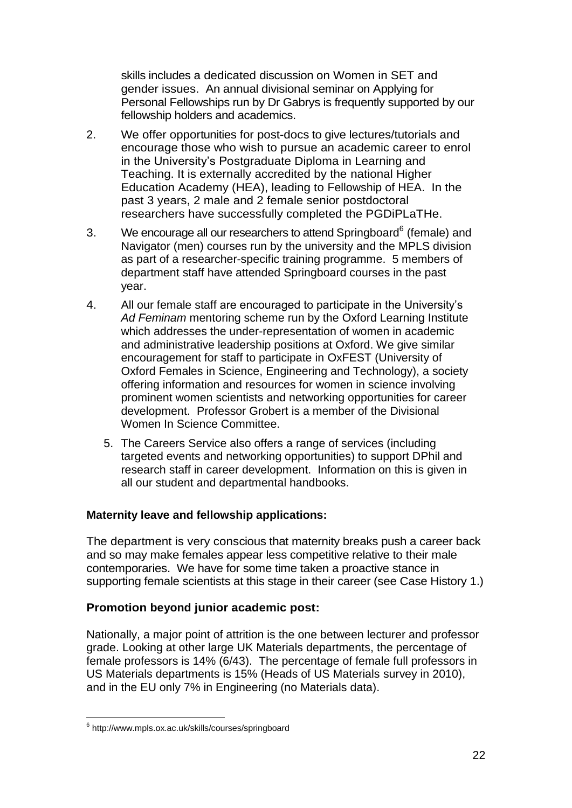skills includes a dedicated discussion on Women in SET and gender issues. An annual divisional seminar on Applying for Personal Fellowships run by Dr Gabrys is frequently supported by our fellowship holders and academics.

- 2. We offer opportunities for post-docs to give lectures/tutorials and encourage those who wish to pursue an academic career to enrol in the University's Postgraduate Diploma in Learning and Teaching. It is externally accredited by the national Higher Education Academy (HEA), leading to Fellowship of HEA. In the past 3 years, 2 male and 2 female senior postdoctoral researchers have successfully completed the PGDiPLaTHe.
- 3. We encourage all our researchers to attend Springboard<sup>6</sup> (female) and Navigator (men) courses run by the university and the MPLS division as part of a researcher-specific training programme. 5 members of department staff have attended Springboard courses in the past year.
- 4. All our female staff are encouraged to participate in the University's *Ad Feminam* mentoring scheme run by the Oxford Learning Institute which addresses the under-representation of women in academic and administrative leadership positions at Oxford. We give similar encouragement for staff to participate in OxFEST (University of Oxford Females in Science, Engineering and Technology), a society offering information and resources for women in science involving prominent women scientists and networking opportunities for career development. Professor Grobert is a member of the Divisional Women In Science Committee.
	- 5. The Careers Service also offers a range of services (including targeted events and networking opportunities) to support DPhil and research staff in career development. Information on this is given in all our student and departmental handbooks.

## **Maternity leave and fellowship applications:**

The department is very conscious that maternity breaks push a career back and so may make females appear less competitive relative to their male contemporaries. We have for some time taken a proactive stance in supporting female scientists at this stage in their career (see Case History 1.)

## **Promotion beyond junior academic post:**

Nationally, a major point of attrition is the one between lecturer and professor grade. Looking at other large UK Materials departments, the percentage of female professors is 14% (6/43). The percentage of female full professors in US Materials departments is 15% (Heads of US Materials survey in 2010), and in the EU only 7% in Engineering (no Materials data).

<sup>1</sup> 6 <http://www.mpls.ox.ac.uk/skills/courses/springboard>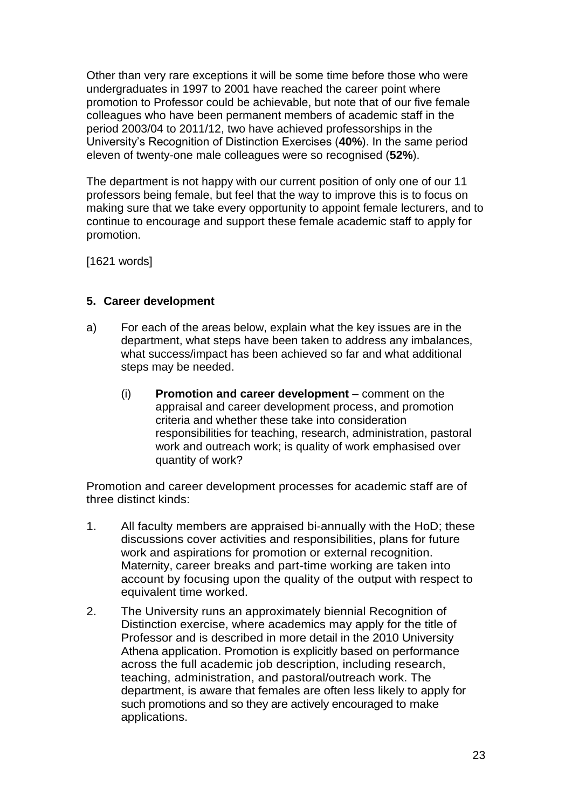Other than very rare exceptions it will be some time before those who were undergraduates in 1997 to 2001 have reached the career point where promotion to Professor could be achievable, but note that of our five female colleagues who have been permanent members of academic staff in the period 2003/04 to 2011/12, two have achieved professorships in the University's Recognition of Distinction Exercises (**40%**). In the same period eleven of twenty-one male colleagues were so recognised (**52%**).

The department is not happy with our current position of only one of our 11 professors being female, but feel that the way to improve this is to focus on making sure that we take every opportunity to appoint female lecturers, and to continue to encourage and support these female academic staff to apply for promotion.

[1621 words]

## **5. Career development**

- a) For each of the areas below, explain what the key issues are in the department, what steps have been taken to address any imbalances, what success/impact has been achieved so far and what additional steps may be needed.
	- (i) **Promotion and career development**  comment on the appraisal and career development process, and promotion criteria and whether these take into consideration responsibilities for teaching, research, administration, pastoral work and outreach work; is quality of work emphasised over quantity of work?

Promotion and career development processes for academic staff are of three distinct kinds:

- 1. All faculty members are appraised bi-annually with the HoD; these discussions cover activities and responsibilities, plans for future work and aspirations for promotion or external recognition. Maternity, career breaks and part-time working are taken into account by focusing upon the quality of the output with respect to equivalent time worked.
- 2. The University runs an approximately biennial Recognition of Distinction exercise, where academics may apply for the title of Professor and is described in more detail in the 2010 University Athena application. Promotion is explicitly based on performance across the full academic job description, including research, teaching, administration, and pastoral/outreach work. The department, is aware that females are often less likely to apply for such promotions and so they are actively encouraged to make applications.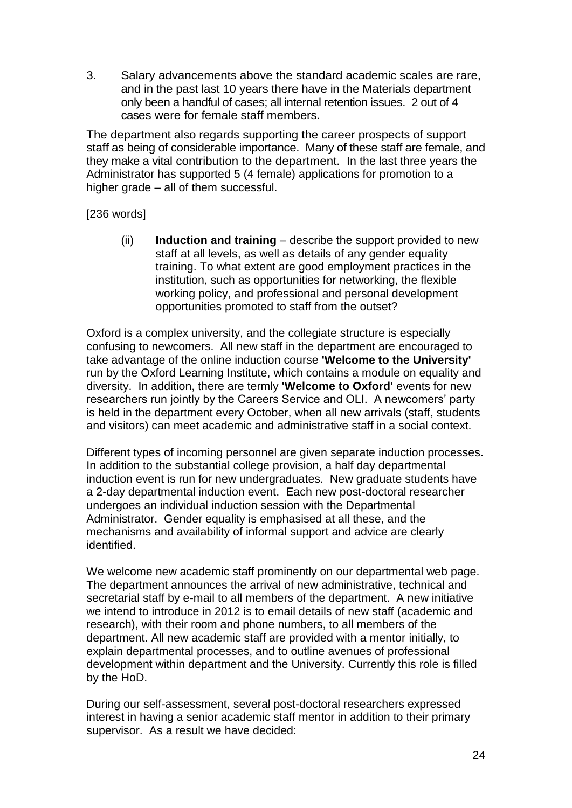3. Salary advancements above the standard academic scales are rare, and in the past last 10 years there have in the Materials department only been a handful of cases; all internal retention issues. 2 out of 4 cases were for female staff members.

The department also regards supporting the career prospects of support staff as being of considerable importance. Many of these staff are female, and they make a vital contribution to the department. In the last three years the Administrator has supported 5 (4 female) applications for promotion to a higher grade – all of them successful.

[236 words]

(ii) **Induction and training** – describe the support provided to new staff at all levels, as well as details of any gender equality training. To what extent are good employment practices in the institution, such as opportunities for networking, the flexible working policy, and professional and personal development opportunities promoted to staff from the outset?

Oxford is a complex university, and the collegiate structure is especially confusing to newcomers. All new staff in the department are encouraged to take advantage of the online induction course **'Welcome to the University'** run by the Oxford Learning Institute, which contains a module on equality and diversity. In addition, there are termly **'Welcome to Oxford'** events for new researchers run jointly by the Careers Service and OLI. A newcomers' party is held in the department every October, when all new arrivals (staff, students and visitors) can meet academic and administrative staff in a social context.

Different types of incoming personnel are given separate induction processes. In addition to the substantial college provision, a half day departmental induction event is run for new undergraduates. New graduate students have a 2-day departmental induction event. Each new post-doctoral researcher undergoes an individual induction session with the Departmental Administrator. Gender equality is emphasised at all these, and the mechanisms and availability of informal support and advice are clearly identified.

We welcome new academic staff prominently on our departmental web page. The department announces the arrival of new administrative, technical and secretarial staff by e-mail to all members of the department. A new initiative we intend to introduce in 2012 is to email details of new staff (academic and research), with their room and phone numbers, to all members of the department. All new academic staff are provided with a mentor initially, to explain departmental processes, and to outline avenues of professional development within department and the University. Currently this role is filled by the HoD.

During our self-assessment, several post-doctoral researchers expressed interest in having a senior academic staff mentor in addition to their primary supervisor. As a result we have decided: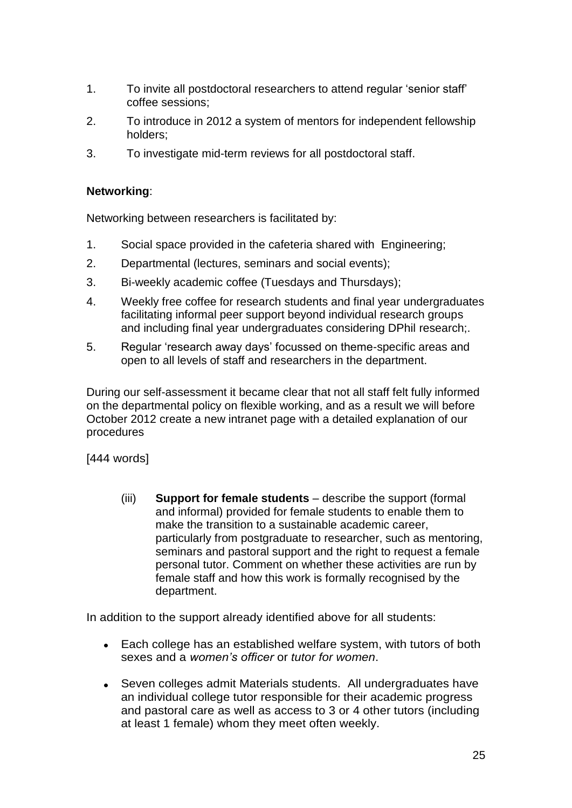- 1. To invite all postdoctoral researchers to attend regular 'senior staff' coffee sessions;
- 2. To introduce in 2012 a system of mentors for independent fellowship holders;
- 3. To investigate mid-term reviews for all postdoctoral staff.

### **Networking**:

Networking between researchers is facilitated by:

- 1. Social space provided in the cafeteria shared with Engineering;
- 2. Departmental (lectures, seminars and social events);
- 3. Bi-weekly academic coffee (Tuesdays and Thursdays);
- 4. Weekly free coffee for research students and final year undergraduates facilitating informal peer support beyond individual research groups and including final year undergraduates considering DPhil research;.
- 5. Regular 'research away days' focussed on theme-specific areas and open to all levels of staff and researchers in the department.

During our self-assessment it became clear that not all staff felt fully informed on the departmental policy on flexible working, and as a result we will before October 2012 create a new intranet page with a detailed explanation of our procedures

[444 words]

(iii) **Support for female students** – describe the support (formal and informal) provided for female students to enable them to make the transition to a sustainable academic career, particularly from postgraduate to researcher, such as mentoring, seminars and pastoral support and the right to request a female personal tutor. Comment on whether these activities are run by female staff and how this work is formally recognised by the department.

In addition to the support already identified above for all students:

- $\bullet$ Each college has an established welfare system, with tutors of both sexes and a *women's officer* or *tutor for women*.
- Seven colleges admit Materials students. All undergraduates have  $\bullet$ an individual college tutor responsible for their academic progress and pastoral care as well as access to 3 or 4 other tutors (including at least 1 female) whom they meet often weekly.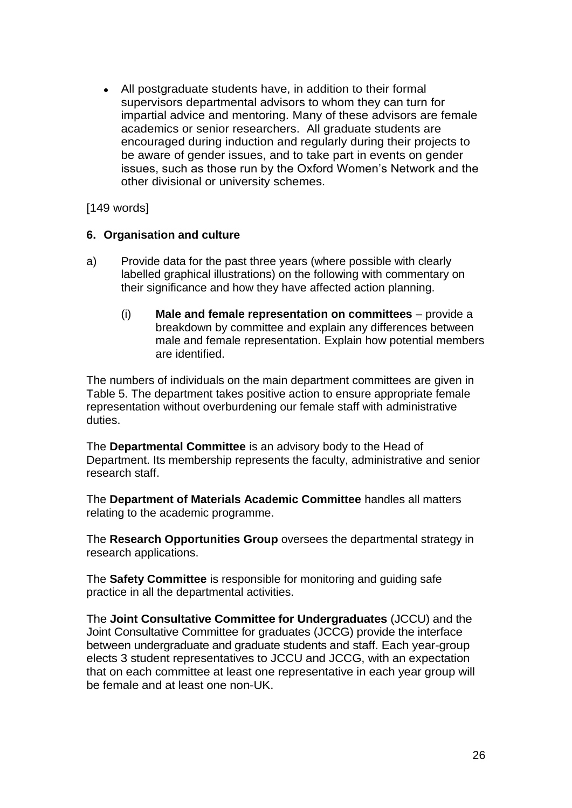All postgraduate students have, in addition to their formal  $\bullet$ supervisors departmental advisors to whom they can turn for impartial advice and mentoring. Many of these advisors are female academics or senior researchers. All graduate students are encouraged during induction and regularly during their projects to be aware of gender issues, and to take part in events on gender issues, such as those run by the Oxford Women's Network and the other divisional or university schemes.

[149 words]

#### **6. Organisation and culture**

- a) Provide data for the past three years (where possible with clearly labelled graphical illustrations) on the following with commentary on their significance and how they have affected action planning.
	- (i) **Male and female representation on committees** provide a breakdown by committee and explain any differences between male and female representation. Explain how potential members are identified.

The numbers of individuals on the main department committees are given in Table 5. The department takes positive action to ensure appropriate female representation without overburdening our female staff with administrative duties.

The **Departmental Committee** is an advisory body to the Head of Department. Its membership represents the faculty, administrative and senior research staff.

The **Department of Materials Academic Committee** handles all matters relating to the academic programme.

The **Research Opportunities Group** oversees the departmental strategy in research applications.

The **Safety Committee** is responsible for monitoring and guiding safe practice in all the departmental activities.

The **Joint Consultative Committee for Undergraduates** (JCCU) and the Joint Consultative Committee for graduates (JCCG) provide the interface between undergraduate and graduate students and staff. Each year-group elects 3 student representatives to JCCU and JCCG, with an expectation that on each committee at least one representative in each year group will be female and at least one non-UK.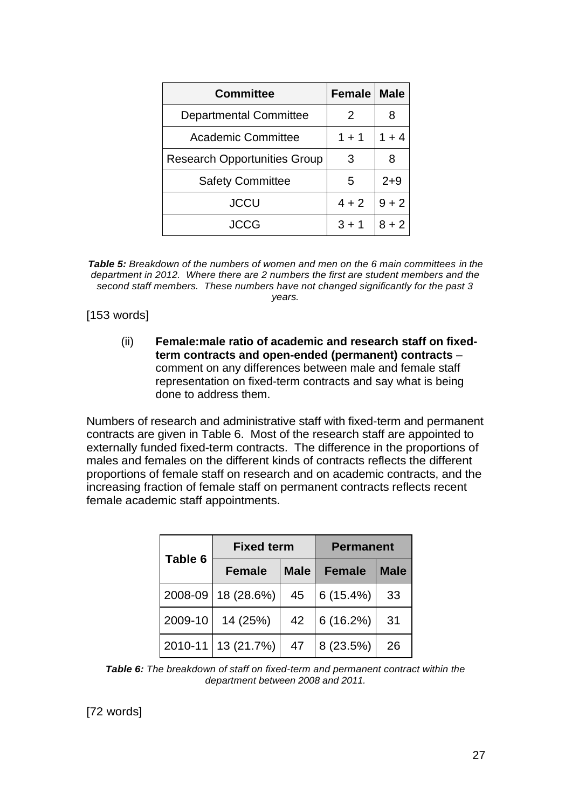| <b>Committee</b>                    | <b>Female</b> | <b>Male</b> |
|-------------------------------------|---------------|-------------|
| <b>Departmental Committee</b>       | 2             |             |
| <b>Academic Committee</b>           | $1 + 1$       | $1 + 4$     |
| <b>Research Opportunities Group</b> | 3             | 8           |
| <b>Safety Committee</b>             | 5             | $2+9$       |
| <b>JCCU</b>                         | $4 + 2$       | $9 + 2$     |
| JCCG                                | $3 + 1$       | $8 + 2$     |

*Table 5: Breakdown of the numbers of women and men on the 6 main committees in the department in 2012. Where there are 2 numbers the first are student members and the second staff members. These numbers have not changed significantly for the past 3 years.*

[153 words]

(ii) **Female:male ratio of academic and research staff on fixedterm contracts and open-ended (permanent) contracts** – comment on any differences between male and female staff representation on fixed-term contracts and say what is being done to address them.

Numbers of research and administrative staff with fixed-term and permanent contracts are given in Table 6. Most of the research staff are appointed to externally funded fixed-term contracts. The difference in the proportions of males and females on the different kinds of contracts reflects the different proportions of female staff on research and on academic contracts, and the increasing fraction of female staff on permanent contracts reflects recent female academic staff appointments.

|             | <b>Fixed term</b> |             | <b>Permanent</b> |             |  |
|-------------|-------------------|-------------|------------------|-------------|--|
| Table 6     | <b>Female</b>     | <b>Male</b> | <b>Female</b>    | <b>Male</b> |  |
| 2008-09     | 18 (28.6%)        | 45          | 6(15.4%)         | 33          |  |
| 2009-10     | 14 (25%)          | 42          | 6(16.2%)         | 31          |  |
| $2010 - 11$ | 13 (21.7%)        | 47          | 8 (23.5%)        | 26          |  |

*Table 6: The breakdown of staff on fixed-term and permanent contract within the department between 2008 and 2011.*

[72 words]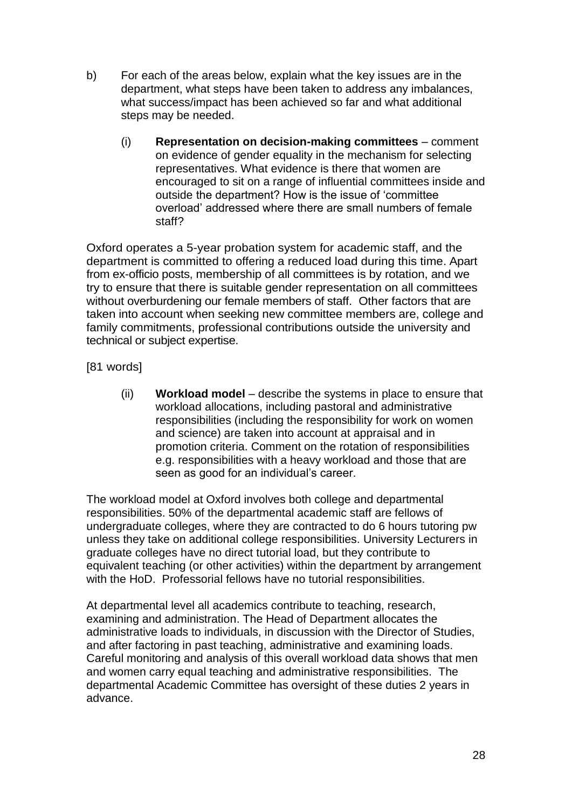- b) For each of the areas below, explain what the key issues are in the department, what steps have been taken to address any imbalances, what success/impact has been achieved so far and what additional steps may be needed.
	- (i) **Representation on decision-making committees** comment on evidence of gender equality in the mechanism for selecting representatives. What evidence is there that women are encouraged to sit on a range of influential committees inside and outside the department? How is the issue of 'committee overload' addressed where there are small numbers of female staff?

Oxford operates a 5-year probation system for academic staff, and the department is committed to offering a reduced load during this time. Apart from ex-officio posts, membership of all committees is by rotation, and we try to ensure that there is suitable gender representation on all committees without overburdening our female members of staff. Other factors that are taken into account when seeking new committee members are, college and family commitments, professional contributions outside the university and technical or subject expertise.

[81 words]

(ii) **Workload model** – describe the systems in place to ensure that workload allocations, including pastoral and administrative responsibilities (including the responsibility for work on women and science) are taken into account at appraisal and in promotion criteria. Comment on the rotation of responsibilities e.g. responsibilities with a heavy workload and those that are seen as good for an individual's career.

The workload model at Oxford involves both college and departmental responsibilities. 50% of the departmental academic staff are fellows of undergraduate colleges, where they are contracted to do 6 hours tutoring pw unless they take on additional college responsibilities. University Lecturers in graduate colleges have no direct tutorial load, but they contribute to equivalent teaching (or other activities) within the department by arrangement with the HoD. Professorial fellows have no tutorial responsibilities.

At departmental level all academics contribute to teaching, research, examining and administration. The Head of Department allocates the administrative loads to individuals, in discussion with the Director of Studies, and after factoring in past teaching, administrative and examining loads. Careful monitoring and analysis of this overall workload data shows that men and women carry equal teaching and administrative responsibilities. The departmental Academic Committee has oversight of these duties 2 years in advance.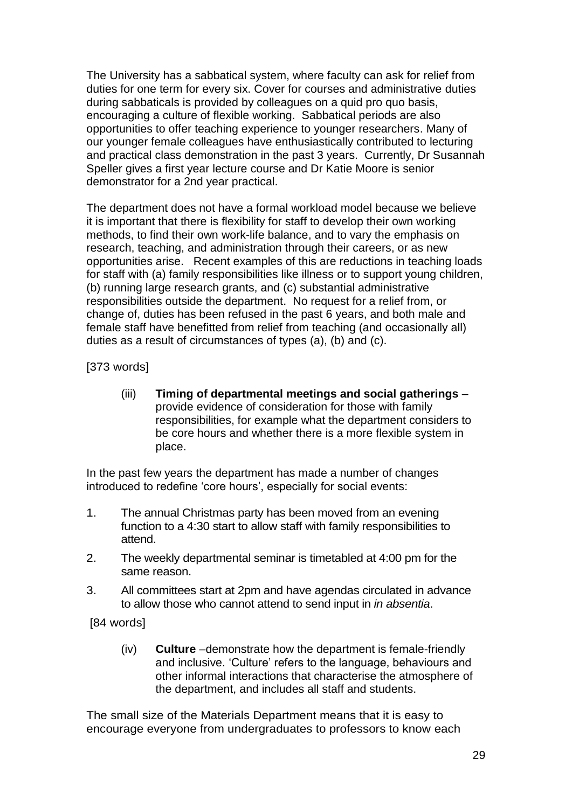The University has a sabbatical system, where faculty can ask for relief from duties for one term for every six. Cover for courses and administrative duties during sabbaticals is provided by colleagues on a quid pro quo basis, encouraging a culture of flexible working. Sabbatical periods are also opportunities to offer teaching experience to younger researchers. Many of our younger female colleagues have enthusiastically contributed to lecturing and practical class demonstration in the past 3 years. Currently, Dr Susannah Speller gives a first year lecture course and Dr Katie Moore is senior demonstrator for a 2nd year practical.

The department does not have a formal workload model because we believe it is important that there is flexibility for staff to develop their own working methods, to find their own work-life balance, and to vary the emphasis on research, teaching, and administration through their careers, or as new opportunities arise. Recent examples of this are reductions in teaching loads for staff with (a) family responsibilities like illness or to support young children, (b) running large research grants, and (c) substantial administrative responsibilities outside the department. No request for a relief from, or change of, duties has been refused in the past 6 years, and both male and female staff have benefitted from relief from teaching (and occasionally all) duties as a result of circumstances of types (a), (b) and (c).

[373 words]

(iii) **Timing of departmental meetings and social gatherings** – provide evidence of consideration for those with family responsibilities, for example what the department considers to be core hours and whether there is a more flexible system in place.

In the past few years the department has made a number of changes introduced to redefine 'core hours', especially for social events:

- 1. The annual Christmas party has been moved from an evening function to a 4:30 start to allow staff with family responsibilities to attend.
- 2. The weekly departmental seminar is timetabled at 4:00 pm for the same reason.
- 3. All committees start at 2pm and have agendas circulated in advance to allow those who cannot attend to send input in *in absentia*.

[84 words]

(iv) **Culture** –demonstrate how the department is female-friendly and inclusive. 'Culture' refers to the language, behaviours and other informal interactions that characterise the atmosphere of the department, and includes all staff and students.

The small size of the Materials Department means that it is easy to encourage everyone from undergraduates to professors to know each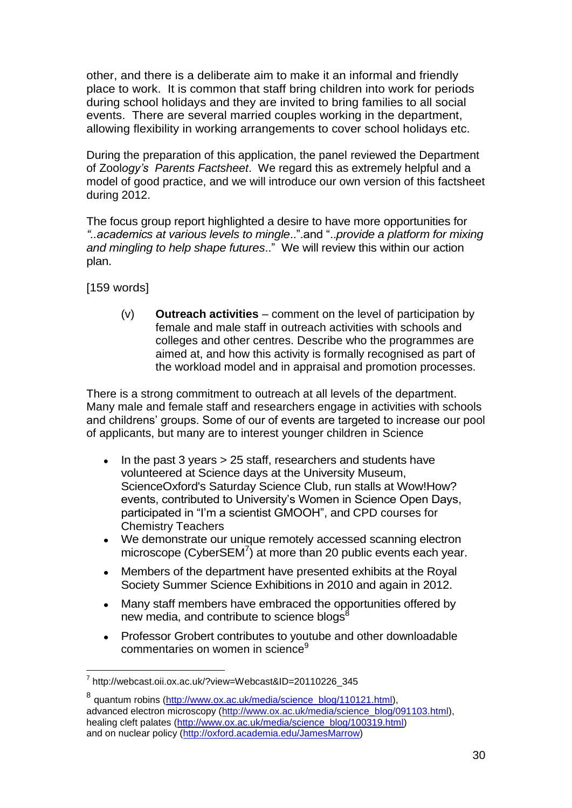other, and there is a deliberate aim to make it an informal and friendly place to work. It is common that staff bring children into work for periods during school holidays and they are invited to bring families to all social events. There are several married couples working in the department, allowing flexibility in working arrangements to cover school holidays etc.

During the preparation of this application, the panel reviewed the Department of Zool*ogy's [Parents Factsheet](http://www.zoo.ox.ac.uk/sites/default/files/ParentsFactsheet.pdf)*. We regard this as extremely helpful and a model of good practice, and we will introduce our own version of this factsheet during 2012.

The focus group report highlighted a desire to have more opportunities for *"..academics at various levels to mingle*..".and "..*provide a platform for mixing and mingling to help shape futures*.." We will review this within our action plan.

[159 words]

1

(v) **Outreach activities** – comment on the level of participation by female and male staff in outreach activities with schools and colleges and other centres. Describe who the programmes are aimed at, and how this activity is formally recognised as part of the workload model and in appraisal and promotion processes.

There is a strong commitment to outreach at all levels of the department. Many male and female staff and researchers engage in activities with schools and childrens' groups. Some of our of events are targeted to increase our pool of applicants, but many are to interest younger children in Science

- In the past 3 years > 25 staff, researchers and students have volunteered at Science days at the University Museum, ScienceOxford's Saturday Science Club, run stalls at Wow!How? events, contributed to University's Women in Science Open Days, participated in "I'm a scientist GMOOH", and CPD courses for Chemistry Teachers
- We demonstrate our unique remotely accessed scanning electron microscope (CyberSEM $^7$ ) at more than 20 public events each year.
- Members of the department have presented exhibits at the Royal  $\blacksquare$ Society Summer Science Exhibitions in 2010 and again in 2012.
- Many staff members have embraced the opportunities offered by new media, and contribute to science blogs<sup>8</sup>
- Professor Grobert contributes to youtube and other downloadable commentaries on women in science<sup>9</sup>

<sup>7</sup> http://webcast.oii.ox.ac.uk/?view=Webcast&ID=20110226\_345

<sup>&</sup>lt;sup>8</sup> quantum robins [\(http://www.ox.ac.uk/media/science\\_blog/110121.html\)](http://www.ox.ac.uk/media/science_blog/110121.html), advanced electron microscopy [\(http://www.ox.ac.uk/media/science\\_blog/091103.html\)](http://www.ox.ac.uk/media/science_blog/091103.html), healing cleft palates [\(http://www.ox.ac.uk/media/science\\_blog/100319.html\)](http://www.ox.ac.uk/media/science_blog/100319.html) and on nuclear policy [\(http://oxford.academia.edu/JamesMarrow\)](http://oxford.academia.edu/JamesMarrow)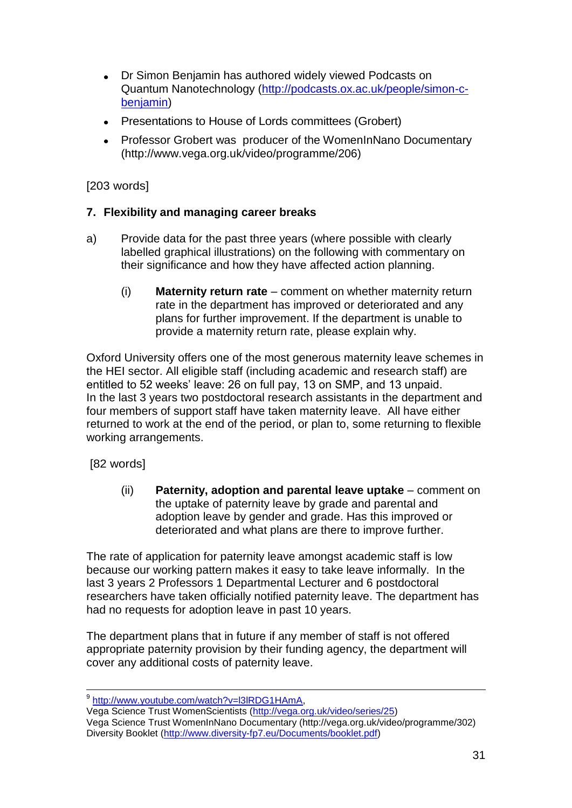- Dr Simon Benjamin has authored widely viewed Podcasts on Quantum Nanotechnology [\(http://podcasts.ox.ac.uk/people/simon-c](http://podcasts.ox.ac.uk/people/simon-c-benjamin)[benjamin\)](http://podcasts.ox.ac.uk/people/simon-c-benjamin)
- Presentations to House of Lords committees (Grobert)
- Professor Grobert was producer of the WomenInNano Documentary (http://www.vega.org.uk/video/programme/206)

# [203 words]

## **7. Flexibility and managing career breaks**

- a) Provide data for the past three years (where possible with clearly labelled graphical illustrations) on the following with commentary on their significance and how they have affected action planning.
	- (i) **Maternity return rate** comment on whether maternity return rate in the department has improved or deteriorated and any plans for further improvement. If the department is unable to provide a maternity return rate, please explain why.

Oxford University offers one of the most generous maternity leave schemes in the HEI sector. All eligible staff (including academic and research staff) are entitled to 52 weeks' leave: 26 on full pay, 13 on SMP, and 13 unpaid. In the last 3 years two postdoctoral research assistants in the department and four members of support staff have taken maternity leave. All have either returned to work at the end of the period, or plan to, some returning to flexible working arrangements.

## [82 words]

(ii) **Paternity, adoption and parental leave uptake** – comment on the uptake of paternity leave by grade and parental and adoption leave by gender and grade. Has this improved or deteriorated and what plans are there to improve further.

The rate of application for paternity leave amongst academic staff is low because our working pattern makes it easy to take leave informally. In the last 3 years 2 Professors 1 Departmental Lecturer and 6 postdoctoral researchers have taken officially notified paternity leave. The department has had no requests for adoption leave in past 10 years.

The department plans that in future if any member of staff is not offered appropriate paternity provision by their funding agency, the department will cover any additional costs of paternity leave.

 9 [http://www.youtube.com/watch?v=l3lRDG1HAmA,](http://www.youtube.com/watch?v=l3lRDG1HAmA)

Vega Science Trust WomenScientists [\(http://vega.org.uk/video/series/25\)](http://vega.org.uk/video/series/25) Vega Science Trust WomenInNano Documentary (http://vega.org.uk/video/programme/302) Diversity Booklet [\(http://www.diversity-fp7.eu/Documents/booklet.pdf\)](http://www.diversity-fp7.eu/Documents/booklet.pdf)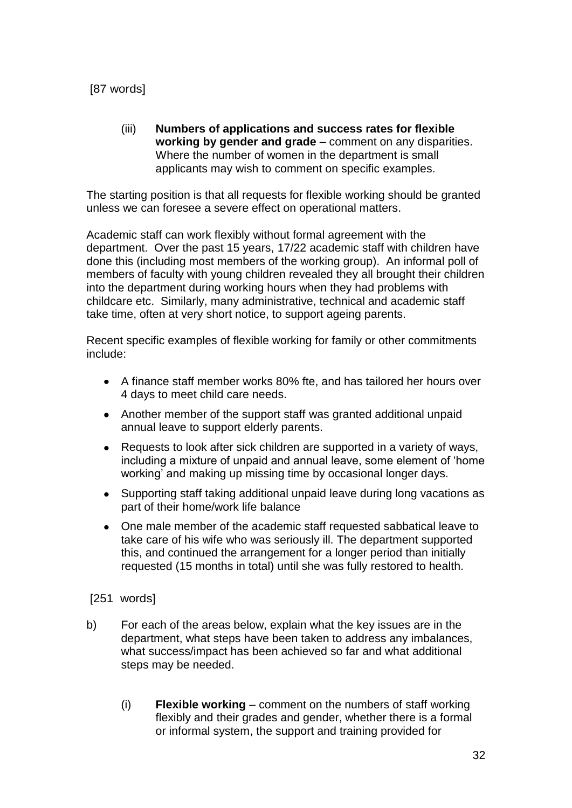[87 words]

(iii) **Numbers of applications and success rates for flexible working by gender and grade** – comment on any disparities. Where the number of women in the department is small applicants may wish to comment on specific examples.

The starting position is that all requests for flexible working should be granted unless we can foresee a severe effect on operational matters.

Academic staff can work flexibly without formal agreement with the department. Over the past 15 years, 17/22 academic staff with children have done this (including most members of the working group). An informal poll of members of faculty with young children revealed they all brought their children into the department during working hours when they had problems with childcare etc. Similarly, many administrative, technical and academic staff take time, often at very short notice, to support ageing parents.

Recent specific examples of flexible working for family or other commitments include:

- A finance staff member works 80% fte, and has tailored her hours over 4 days to meet child care needs.
- Another member of the support staff was granted additional unpaid annual leave to support elderly parents.
- $\bullet$ Requests to look after sick children are supported in a variety of ways, including a mixture of unpaid and annual leave, some element of 'home working' and making up missing time by occasional longer days.
- $\bullet$ Supporting staff taking additional unpaid leave during long vacations as part of their home/work life balance
- One male member of the academic staff requested sabbatical leave to take care of his wife who was seriously ill. The department supported this, and continued the arrangement for a longer period than initially requested (15 months in total) until she was fully restored to health.
- [251 words]
- b) For each of the areas below, explain what the key issues are in the department, what steps have been taken to address any imbalances, what success/impact has been achieved so far and what additional steps may be needed.
	- (i) **Flexible working** comment on the numbers of staff working flexibly and their grades and gender, whether there is a formal or informal system, the support and training provided for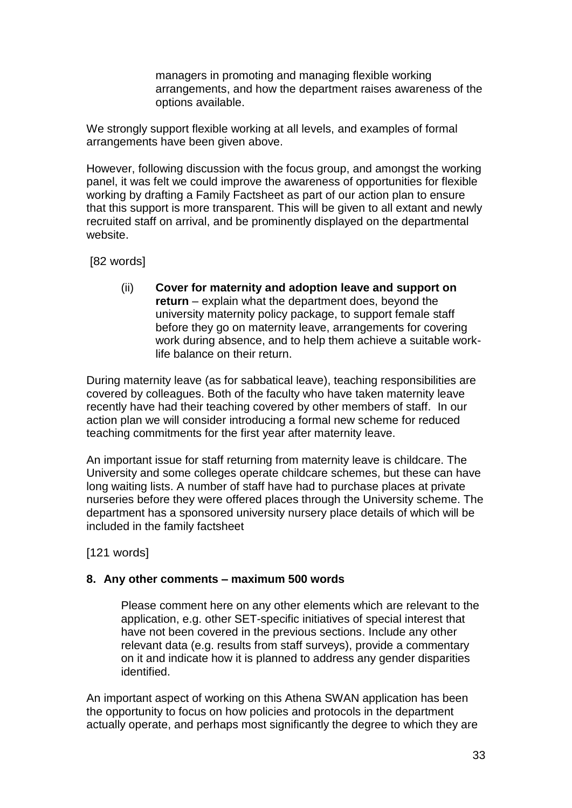managers in promoting and managing flexible working arrangements, and how the department raises awareness of the options available.

We strongly support flexible working at all levels, and examples of formal arrangements have been given above.

However, following discussion with the focus group, and amongst the working panel, it was felt we could improve the awareness of opportunities for flexible working by drafting a Family Factsheet as part of our action plan to ensure that this support is more transparent. This will be given to all extant and newly recruited staff on arrival, and be prominently displayed on the departmental website.

[82 words]

(ii) **Cover for maternity and adoption leave and support on return** – explain what the department does, beyond the university maternity policy package, to support female staff before they go on maternity leave, arrangements for covering work during absence, and to help them achieve a suitable worklife balance on their return.

During maternity leave (as for sabbatical leave), teaching responsibilities are covered by colleagues. Both of the faculty who have taken maternity leave recently have had their teaching covered by other members of staff. In our action plan we will consider introducing a formal new scheme for reduced teaching commitments for the first year after maternity leave.

An important issue for staff returning from maternity leave is childcare. The University and some colleges operate childcare schemes, but these can have long waiting lists. A number of staff have had to purchase places at private nurseries before they were offered places through the University scheme. The department has a sponsored university nursery place details of which will be included in the family factsheet

[121 words]

#### **8. Any other comments – maximum 500 words**

Please comment here on any other elements which are relevant to the application, e.g. other SET-specific initiatives of special interest that have not been covered in the previous sections. Include any other relevant data (e.g. results from staff surveys), provide a commentary on it and indicate how it is planned to address any gender disparities identified.

An important aspect of working on this Athena SWAN application has been the opportunity to focus on how policies and protocols in the department actually operate, and perhaps most significantly the degree to which they are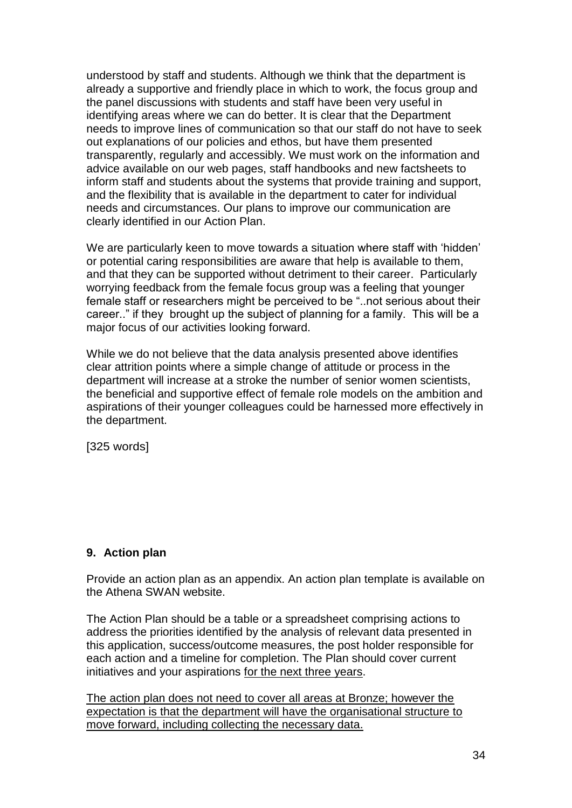understood by staff and students. Although we think that the department is already a supportive and friendly place in which to work, the focus group and the panel discussions with students and staff have been very useful in identifying areas where we can do better. It is clear that the Department needs to improve lines of communication so that our staff do not have to seek out explanations of our policies and ethos, but have them presented transparently, regularly and accessibly. We must work on the information and advice available on our web pages, staff handbooks and new factsheets to inform staff and students about the systems that provide training and support, and the flexibility that is available in the department to cater for individual needs and circumstances. Our plans to improve our communication are clearly identified in our Action Plan.

We are particularly keen to move towards a situation where staff with 'hidden' or potential caring responsibilities are aware that help is available to them, and that they can be supported without detriment to their career. Particularly worrying feedback from the female focus group was a feeling that younger female staff or researchers might be perceived to be "..not serious about their career.." if they brought up the subject of planning for a family. This will be a major focus of our activities looking forward.

While we do not believe that the data analysis presented above identifies clear attrition points where a simple change of attitude or process in the department will increase at a stroke the number of senior women scientists, the beneficial and supportive effect of female role models on the ambition and aspirations of their younger colleagues could be harnessed more effectively in the department.

[325 words]

#### **9. Action plan**

Provide an action plan as an appendix. An action plan template is available on the Athena SWAN website.

The Action Plan should be a table or a spreadsheet comprising actions to address the priorities identified by the analysis of relevant data presented in this application, success/outcome measures, the post holder responsible for each action and a timeline for completion. The Plan should cover current initiatives and your aspirations for the next three years.

The action plan does not need to cover all areas at Bronze; however the expectation is that the department will have the organisational structure to move forward, including collecting the necessary data.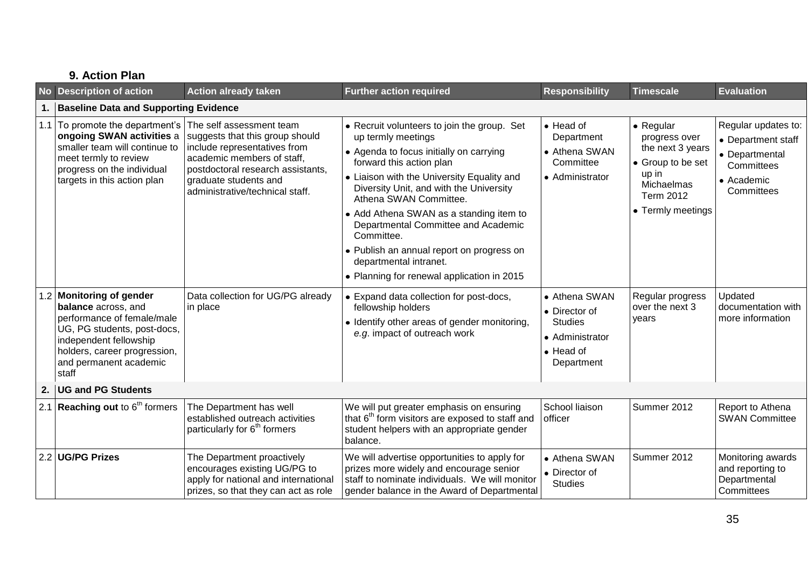|    | 9. Action Plan                                                                                                                                                                                            |                                                                                                                                                                                                                            |                                                                                                                                                                                                                                                                                                                                                                                                                                                                                  |                                                                                                        |                                                                                                                              |                                                                                                       |
|----|-----------------------------------------------------------------------------------------------------------------------------------------------------------------------------------------------------------|----------------------------------------------------------------------------------------------------------------------------------------------------------------------------------------------------------------------------|----------------------------------------------------------------------------------------------------------------------------------------------------------------------------------------------------------------------------------------------------------------------------------------------------------------------------------------------------------------------------------------------------------------------------------------------------------------------------------|--------------------------------------------------------------------------------------------------------|------------------------------------------------------------------------------------------------------------------------------|-------------------------------------------------------------------------------------------------------|
|    | No Description of action                                                                                                                                                                                  | <b>Action already taken</b>                                                                                                                                                                                                | <b>Further action required</b>                                                                                                                                                                                                                                                                                                                                                                                                                                                   | <b>Responsibility</b>                                                                                  | <b>Timescale</b>                                                                                                             | <b>Evaluation</b>                                                                                     |
| 1. | <b>Baseline Data and Supporting Evidence</b>                                                                                                                                                              |                                                                                                                                                                                                                            |                                                                                                                                                                                                                                                                                                                                                                                                                                                                                  |                                                                                                        |                                                                                                                              |                                                                                                       |
|    | 1.1 $\overline{1}$ To promote the department's<br>ongoing SWAN activities a<br>smaller team will continue to<br>meet termly to review<br>progress on the individual<br>targets in this action plan        | The self assessment team<br>suggests that this group should<br>include representatives from<br>academic members of staff,<br>postdoctoral research assistants,<br>graduate students and<br>administrative/technical staff. | • Recruit volunteers to join the group. Set<br>up termly meetings<br>• Agenda to focus initially on carrying<br>forward this action plan<br>• Liaison with the University Equality and<br>Diversity Unit, and with the University<br>Athena SWAN Committee.<br>• Add Athena SWAN as a standing item to<br>Departmental Committee and Academic<br>Committee.<br>• Publish an annual report on progress on<br>departmental intranet.<br>• Planning for renewal application in 2015 | $\bullet$ Head of<br>Department<br>• Athena SWAN<br>Committee<br>• Administrator                       | • Regular<br>progress over<br>the next 3 years<br>• Group to be set<br>up in<br>Michaelmas<br>Term 2012<br>• Termly meetings | Regular updates to:<br>• Department staff<br>• Departmental<br>Committees<br>• Academic<br>Committees |
|    | 1.2 Monitoring of gender<br>balance across, and<br>performance of female/male<br>UG, PG students, post-docs,<br>independent fellowship<br>holders, career progression,<br>and permanent academic<br>staff | Data collection for UG/PG already<br>in place                                                                                                                                                                              | • Expand data collection for post-docs,<br>fellowship holders<br>• Identify other areas of gender monitoring,<br>e.g. impact of outreach work                                                                                                                                                                                                                                                                                                                                    | • Athena SWAN<br>• Director of<br><b>Studies</b><br>• Administrator<br>$\bullet$ Head of<br>Department | Regular progress<br>over the next 3<br>years                                                                                 | Updated<br>documentation with<br>more information                                                     |
| 2. | <b>UG and PG Students</b>                                                                                                                                                                                 |                                                                                                                                                                                                                            |                                                                                                                                                                                                                                                                                                                                                                                                                                                                                  |                                                                                                        |                                                                                                                              |                                                                                                       |
|    | 2.1 Reaching out to $6th$ formers                                                                                                                                                                         | The Department has well<br>established outreach activities<br>particularly for 6 <sup>th</sup> formers                                                                                                                     | We will put greater emphasis on ensuring<br>that 6 <sup>th</sup> form visitors are exposed to staff and<br>student helpers with an appropriate gender<br>balance.                                                                                                                                                                                                                                                                                                                | School liaison<br>officer                                                                              | Summer 2012                                                                                                                  | Report to Athena<br><b>SWAN Committee</b>                                                             |
|    | 2.2 UG/PG Prizes                                                                                                                                                                                          | The Department proactively<br>encourages existing UG/PG to<br>apply for national and international<br>prizes, so that they can act as role                                                                                 | We will advertise opportunities to apply for<br>prizes more widely and encourage senior<br>staff to nominate individuals. We will monitor<br>gender balance in the Award of Departmental                                                                                                                                                                                                                                                                                         | • Athena SWAN<br>• Director of<br><b>Studies</b>                                                       | Summer 2012                                                                                                                  | Monitoring awards<br>and reporting to<br>Departmental<br>Committees                                   |

# 35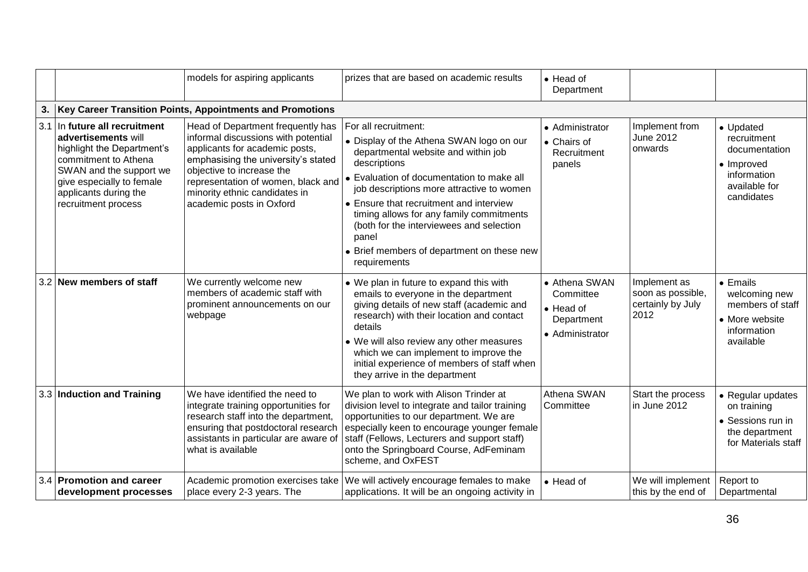|    |                                                                                                                                                                                                                    | models for aspiring applicants                                                                                                                                                                                                                                                    | prizes that are based on academic results                                                                                                                                                                                                                                                                                                                                                                                   | • Head of<br>Department                                                  |                                                                |                                                                                                       |
|----|--------------------------------------------------------------------------------------------------------------------------------------------------------------------------------------------------------------------|-----------------------------------------------------------------------------------------------------------------------------------------------------------------------------------------------------------------------------------------------------------------------------------|-----------------------------------------------------------------------------------------------------------------------------------------------------------------------------------------------------------------------------------------------------------------------------------------------------------------------------------------------------------------------------------------------------------------------------|--------------------------------------------------------------------------|----------------------------------------------------------------|-------------------------------------------------------------------------------------------------------|
| 3. |                                                                                                                                                                                                                    | Key Career Transition Points, Appointments and Promotions                                                                                                                                                                                                                         |                                                                                                                                                                                                                                                                                                                                                                                                                             |                                                                          |                                                                |                                                                                                       |
|    | 3.1 In future all recruitment<br>advertisements will<br>highlight the Department's<br>commitment to Athena<br>SWAN and the support we<br>give especially to female<br>applicants during the<br>recruitment process | Head of Department frequently has<br>informal discussions with potential<br>applicants for academic posts,<br>emphasising the university's stated<br>objective to increase the<br>representation of women, black and<br>minority ethnic candidates in<br>academic posts in Oxford | For all recruitment:<br>• Display of the Athena SWAN logo on our<br>departmental website and within job<br>descriptions<br>• Evaluation of documentation to make all<br>job descriptions more attractive to women<br>• Ensure that recruitment and interview<br>timing allows for any family commitments<br>(both for the interviewees and selection<br>panel<br>• Brief members of department on these new<br>requirements | • Administrator<br>• Chairs of<br>Recruitment<br>panels                  | Implement from<br><b>June 2012</b><br>onwards                  | • Updated<br>recruitment<br>documentation<br>• Improved<br>information<br>available for<br>candidates |
|    | 3.2 New members of staff                                                                                                                                                                                           | We currently welcome new<br>members of academic staff with<br>prominent announcements on our<br>webpage                                                                                                                                                                           | • We plan in future to expand this with<br>emails to everyone in the department<br>giving details of new staff (academic and<br>research) with their location and contact<br>details<br>• We will also review any other measures<br>which we can implement to improve the<br>initial experience of members of staff when<br>they arrive in the department                                                                   | • Athena SWAN<br>Committee<br>• Head of<br>Department<br>• Administrator | Implement as<br>soon as possible,<br>certainly by July<br>2012 | $\bullet$ Emails<br>welcoming new<br>members of staff<br>• More website<br>information<br>available   |
|    | 3.3 Induction and Training                                                                                                                                                                                         | We have identified the need to<br>integrate training opportunities for<br>research staff into the department,<br>ensuring that postdoctoral research<br>assistants in particular are aware of<br>what is available                                                                | We plan to work with Alison Trinder at<br>division level to integrate and tailor training<br>opportunities to our department. We are<br>especially keen to encourage younger female<br>staff (Fellows, Lecturers and support staff)<br>onto the Springboard Course, AdFeminam<br>scheme, and OxFEST                                                                                                                         | Athena SWAN<br>Committee                                                 | Start the process<br>in June 2012                              | • Regular updates<br>on training<br>• Sessions run in<br>the department<br>for Materials staff        |
|    | 3.4 Promotion and career<br>development processes                                                                                                                                                                  | Academic promotion exercises take<br>place every 2-3 years. The                                                                                                                                                                                                                   | We will actively encourage females to make<br>applications. It will be an ongoing activity in                                                                                                                                                                                                                                                                                                                               | • Head of                                                                | We will implement<br>this by the end of                        | Report to<br>Departmental                                                                             |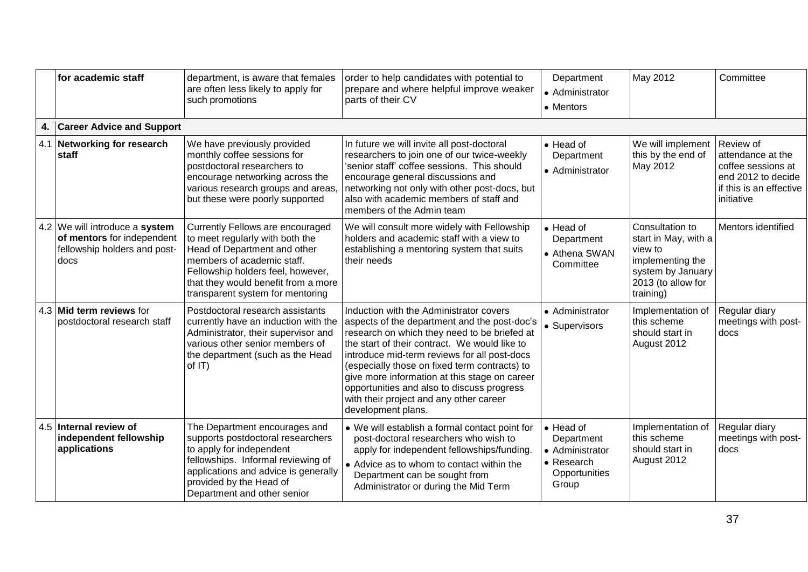|     | for academic staff                                                                                   | department, is aware that females<br>are often less likely to apply for<br>such promotions                                                                                                                                                        | order to help candidates with potential to<br>prepare and where helpful improve weaker<br>parts of their CV                                                                                                                                                                                                                                                                                                                                               | Department<br>• Administrator<br>• Mentors                                                 | May 2012                                                                                                                       | Committee                                                                                                           |
|-----|------------------------------------------------------------------------------------------------------|---------------------------------------------------------------------------------------------------------------------------------------------------------------------------------------------------------------------------------------------------|-----------------------------------------------------------------------------------------------------------------------------------------------------------------------------------------------------------------------------------------------------------------------------------------------------------------------------------------------------------------------------------------------------------------------------------------------------------|--------------------------------------------------------------------------------------------|--------------------------------------------------------------------------------------------------------------------------------|---------------------------------------------------------------------------------------------------------------------|
| 4.  | <b>Career Advice and Support</b>                                                                     |                                                                                                                                                                                                                                                   |                                                                                                                                                                                                                                                                                                                                                                                                                                                           |                                                                                            |                                                                                                                                |                                                                                                                     |
|     | 4.1 Networking for research<br>staff                                                                 | We have previously provided<br>monthly coffee sessions for<br>postdoctoral researchers to<br>encourage networking across the<br>various research groups and areas,<br>but these were poorly supported                                             | In future we will invite all post-doctoral<br>researchers to join one of our twice-weekly<br>'senior staff' coffee sessions. This should<br>encourage general discussions and<br>networking not only with other post-docs, but<br>also with academic members of staff and<br>members of the Admin team                                                                                                                                                    | $\bullet$ Head of<br>Department<br>• Administrator                                         | We will implement<br>this by the end of<br>May 2012                                                                            | Review of<br>attendance at the<br>coffee sessions at<br>end 2012 to decide<br>if this is an effective<br>initiative |
|     | 4.2 We will introduce a system<br>of mentors for independent<br>fellowship holders and post-<br>docs | Currently Fellows are encouraged<br>to meet regularly with both the<br>Head of Department and other<br>members of academic staff.<br>Fellowship holders feel, however,<br>that they would benefit from a more<br>transparent system for mentoring | We will consult more widely with Fellowship<br>holders and academic staff with a view to<br>establishing a mentoring system that suits<br>their needs                                                                                                                                                                                                                                                                                                     | • Head of<br>Department<br>• Athena SWAN<br>Committee                                      | Consultation to<br>start in May, with a<br>view to<br>implementing the<br>system by January<br>2013 (to allow for<br>training) | Mentors identified                                                                                                  |
| 4.3 | Mid term reviews for<br>postdoctoral research staff                                                  | Postdoctoral research assistants<br>currently have an induction with the<br>Administrator, their supervisor and<br>various other senior members of<br>the department (such as the Head<br>of $ T\rangle$                                          | Induction with the Administrator covers<br>aspects of the department and the post-doc's<br>research on which they need to be briefed at<br>the start of their contract. We would like to<br>introduce mid-term reviews for all post-docs<br>(especially those on fixed term contracts) to<br>give more information at this stage on career<br>opportunities and also to discuss progress<br>with their project and any other career<br>development plans. | • Administrator<br>• Supervisors                                                           | Implementation of<br>this scheme<br>should start in<br>August 2012                                                             | Regular diary<br>meetings with post-<br>docs                                                                        |
| 4.5 | Internal review of<br>independent fellowship<br>applications                                         | The Department encourages and<br>supports postdoctoral researchers<br>to apply for independent<br>fellowships. Informal reviewing of<br>applications and advice is generally<br>provided by the Head of<br>Department and other senior            | • We will establish a formal contact point for<br>post-doctoral researchers who wish to<br>apply for independent fellowships/funding.<br>• Advice as to whom to contact within the<br>Department can be sought from<br>Administrator or during the Mid Term                                                                                                                                                                                               | $\bullet$ Head of<br>Department<br>• Administrator<br>• Research<br>Opportunities<br>Group | Implementation of<br>this scheme<br>should start in<br>August 2012                                                             | Regular diary<br>meetings with post-<br>docs                                                                        |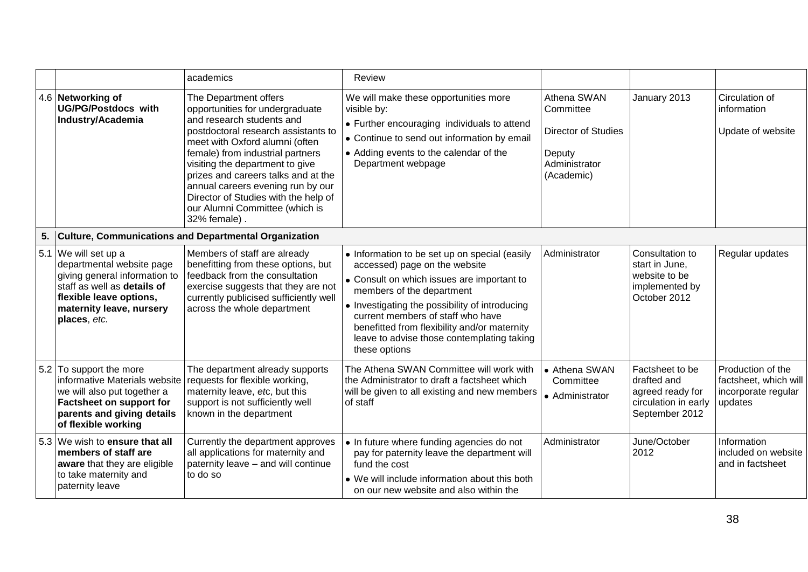|    |                                                                                                                                                                                          | academics                                                                                                                                                                                                                                                                                                                                                                                                   | Review                                                                                                                                                                                                                                                                                                                                                          |                                                                                                 |                                                                                              |                                                                              |
|----|------------------------------------------------------------------------------------------------------------------------------------------------------------------------------------------|-------------------------------------------------------------------------------------------------------------------------------------------------------------------------------------------------------------------------------------------------------------------------------------------------------------------------------------------------------------------------------------------------------------|-----------------------------------------------------------------------------------------------------------------------------------------------------------------------------------------------------------------------------------------------------------------------------------------------------------------------------------------------------------------|-------------------------------------------------------------------------------------------------|----------------------------------------------------------------------------------------------|------------------------------------------------------------------------------|
|    | 4.6 Networking of<br><b>UG/PG/Postdocs with</b><br>Industry/Academia                                                                                                                     | The Department offers<br>opportunities for undergraduate<br>and research students and<br>postdoctoral research assistants to<br>meet with Oxford alumni (often<br>female) from industrial partners<br>visiting the department to give<br>prizes and careers talks and at the<br>annual careers evening run by our<br>Director of Studies with the help of<br>our Alumni Committee (which is<br>32% female). | We will make these opportunities more<br>visible by:<br>• Further encouraging individuals to attend<br>• Continue to send out information by email<br>• Adding events to the calendar of the<br>Department webpage                                                                                                                                              | Athena SWAN<br>Committee<br><b>Director of Studies</b><br>Deputy<br>Administrator<br>(Academic) | January 2013                                                                                 | Circulation of<br>information<br>Update of website                           |
| 5. |                                                                                                                                                                                          | <b>Culture, Communications and Departmental Organization</b>                                                                                                                                                                                                                                                                                                                                                |                                                                                                                                                                                                                                                                                                                                                                 |                                                                                                 |                                                                                              |                                                                              |
|    | 5.1 We will set up a<br>departmental website page<br>giving general information to<br>staff as well as details of<br>flexible leave options,<br>maternity leave, nursery<br>places, etc. | Members of staff are already<br>benefitting from these options, but<br>feedback from the consultation<br>exercise suggests that they are not<br>currently publicised sufficiently well<br>across the whole department                                                                                                                                                                                       | • Information to be set up on special (easily<br>accessed) page on the website<br>• Consult on which issues are important to<br>members of the department<br>• Investigating the possibility of introducing<br>current members of staff who have<br>benefitted from flexibility and/or maternity<br>leave to advise those contemplating taking<br>these options | Administrator                                                                                   | Consultation to<br>start in June,<br>website to be<br>implemented by<br>October 2012         | Regular updates                                                              |
|    | 5.2 To support the more<br>informative Materials website<br>we will also put together a<br>Factsheet on support for<br>parents and giving details<br>of flexible working                 | The department already supports<br>requests for flexible working,<br>maternity leave, etc, but this<br>support is not sufficiently well<br>known in the department                                                                                                                                                                                                                                          | The Athena SWAN Committee will work with<br>the Administrator to draft a factsheet which<br>will be given to all existing and new members<br>of staff                                                                                                                                                                                                           | • Athena SWAN<br>Committee<br>• Administrator                                                   | Factsheet to be<br>drafted and<br>agreed ready for<br>circulation in early<br>September 2012 | Production of the<br>factsheet, which will<br>incorporate regular<br>updates |
|    | 5.3 We wish to ensure that all<br>members of staff are<br>aware that they are eligible<br>to take maternity and<br>paternity leave                                                       | Currently the department approves<br>all applications for maternity and<br>paternity leave - and will continue<br>to do so                                                                                                                                                                                                                                                                                  | • In future where funding agencies do not<br>pay for paternity leave the department will<br>fund the cost<br>• We will include information about this both<br>on our new website and also within the                                                                                                                                                            | Administrator                                                                                   | June/October<br>2012                                                                         | Information<br>included on website<br>and in factsheet                       |

38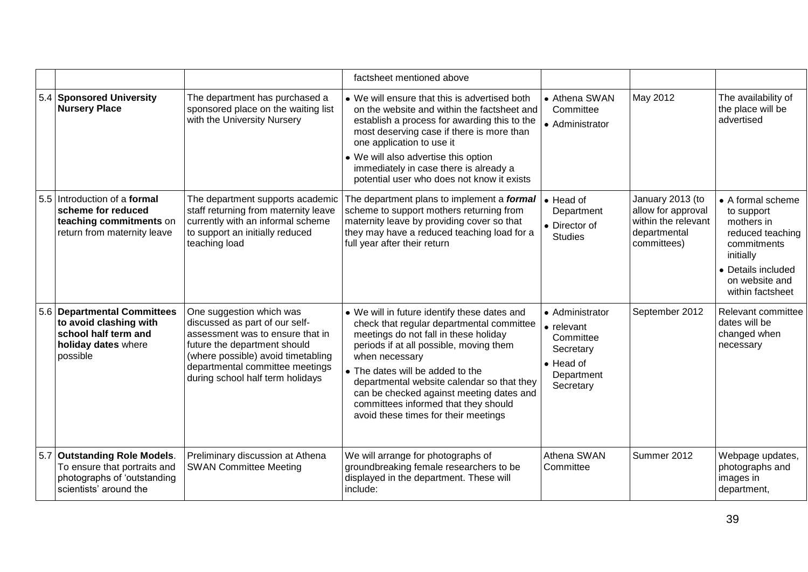|     |                                                                                                                       |                                                                                                                                                                                                                                             | factsheet mentioned above                                                                                                                                                                                                                                                                                                                                                                                     |                                                                                                                 |                                                                                              |                                                                                                                                                           |
|-----|-----------------------------------------------------------------------------------------------------------------------|---------------------------------------------------------------------------------------------------------------------------------------------------------------------------------------------------------------------------------------------|---------------------------------------------------------------------------------------------------------------------------------------------------------------------------------------------------------------------------------------------------------------------------------------------------------------------------------------------------------------------------------------------------------------|-----------------------------------------------------------------------------------------------------------------|----------------------------------------------------------------------------------------------|-----------------------------------------------------------------------------------------------------------------------------------------------------------|
|     | 5.4 Sponsored University<br><b>Nursery Place</b>                                                                      | The department has purchased a<br>sponsored place on the waiting list<br>with the University Nursery                                                                                                                                        | • We will ensure that this is advertised both<br>on the website and within the factsheet and<br>establish a process for awarding this to the<br>most deserving case if there is more than<br>one application to use it<br>• We will also advertise this option<br>immediately in case there is already a<br>potential user who does not know it exists                                                        | • Athena SWAN<br>Committee<br>• Administrator                                                                   | May 2012                                                                                     | The availability of<br>the place will be<br>advertised                                                                                                    |
|     | 5.5 Introduction of a formal<br>scheme for reduced<br>teaching commitments on<br>return from maternity leave          | The department supports academic<br>staff returning from maternity leave<br>currently with an informal scheme<br>to support an initially reduced<br>teaching load                                                                           | The department plans to implement a <i>formal</i><br>scheme to support mothers returning from<br>maternity leave by providing cover so that<br>they may have a reduced teaching load for a<br>full year after their return                                                                                                                                                                                    | • Head of<br>Department<br>• Director of<br><b>Studies</b>                                                      | January 2013 (to<br>allow for approval<br>within the relevant<br>departmental<br>committees) | • A formal scheme<br>to support<br>mothers in<br>reduced teaching<br>commitments<br>initially<br>• Details included<br>on website and<br>within factsheet |
| 5.6 | <b>Departmental Committees</b><br>to avoid clashing with<br>school half term and<br>holiday dates where<br>possible   | One suggestion which was<br>discussed as part of our self-<br>assessment was to ensure that in<br>future the department should<br>(where possible) avoid timetabling<br>departmental committee meetings<br>during school half term holidays | • We will in future identify these dates and<br>check that regular departmental committee<br>meetings do not fall in these holiday<br>periods if at all possible, moving them<br>when necessary<br>• The dates will be added to the<br>departmental website calendar so that they<br>can be checked against meeting dates and<br>committees informed that they should<br>avoid these times for their meetings | • Administrator<br>$\bullet$ relevant<br>Committee<br>Secretary<br>$\bullet$ Head of<br>Department<br>Secretary | September 2012                                                                               | Relevant committee<br>dates will be<br>changed when<br>necessary                                                                                          |
|     | 5.7 Outstanding Role Models.<br>To ensure that portraits and<br>photographs of 'outstanding<br>scientists' around the | Preliminary discussion at Athena<br><b>SWAN Committee Meeting</b>                                                                                                                                                                           | We will arrange for photographs of<br>groundbreaking female researchers to be<br>displayed in the department. These will<br>include:                                                                                                                                                                                                                                                                          | Athena SWAN<br>Committee                                                                                        | Summer 2012                                                                                  | Webpage updates,<br>photographs and<br>images in<br>department,                                                                                           |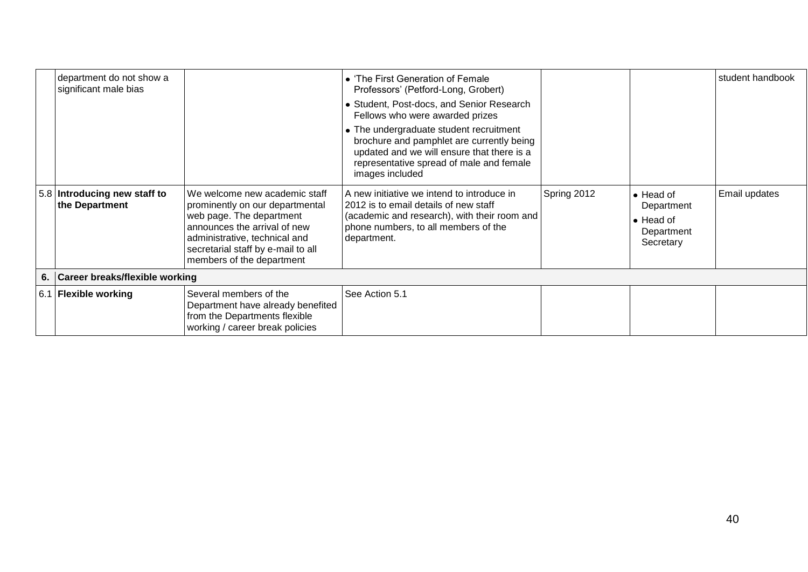| department do not show a<br>significant male bias |                                                                                                                                                                                                                                  | • 'The First Generation of Female<br>Professors' (Petford-Long, Grobert)<br>• Student, Post-docs, and Senior Research<br>Fellows who were awarded prizes                                          |             |                                                                                 | student handbook |
|---------------------------------------------------|----------------------------------------------------------------------------------------------------------------------------------------------------------------------------------------------------------------------------------|---------------------------------------------------------------------------------------------------------------------------------------------------------------------------------------------------|-------------|---------------------------------------------------------------------------------|------------------|
|                                                   |                                                                                                                                                                                                                                  | • The undergraduate student recruitment<br>brochure and pamphlet are currently being<br>updated and we will ensure that there is a<br>representative spread of male and female<br>images included |             |                                                                                 |                  |
| 5.8 Introducing new staff to<br>the Department    | We welcome new academic staff<br>prominently on our departmental<br>web page. The department<br>announces the arrival of new<br>administrative, technical and<br>secretarial staff by e-mail to all<br>members of the department | A new initiative we intend to introduce in<br>2012 is to email details of new staff<br>(academic and research), with their room and<br>phone numbers, to all members of the<br>department.        | Spring 2012 | $\bullet$ Head of<br>Department<br>$\bullet$ Head of<br>Department<br>Secretary | Email updates    |
| 6. Career breaks/flexible working                 |                                                                                                                                                                                                                                  |                                                                                                                                                                                                   |             |                                                                                 |                  |
| 6.1 Flexible working                              | Several members of the<br>Department have already benefited<br>from the Departments flexible<br>working / career break policies                                                                                                  | See Action 5.1                                                                                                                                                                                    |             |                                                                                 |                  |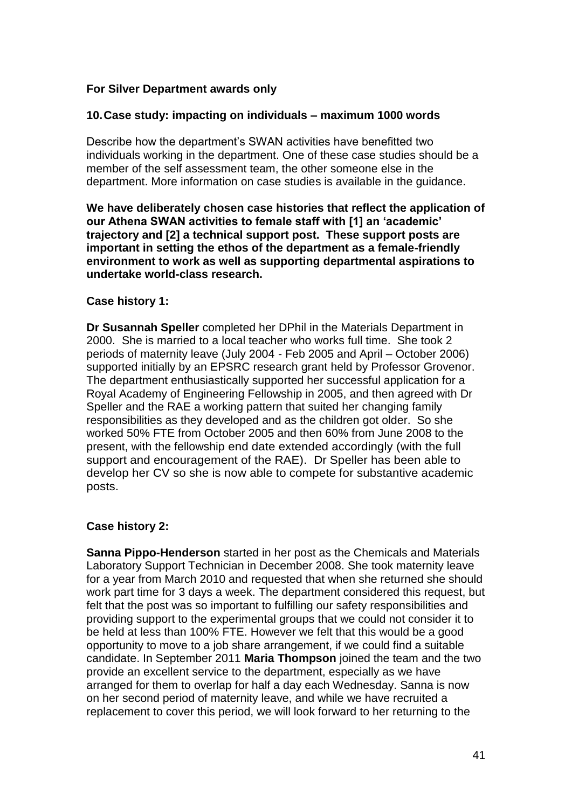## **For Silver Department awards only**

### **10.Case study: impacting on individuals – maximum 1000 words**

Describe how the department's SWAN activities have benefitted two individuals working in the department. One of these case studies should be a member of the self assessment team, the other someone else in the department. More information on case studies is available in the guidance.

**We have deliberately chosen case histories that reflect the application of our Athena SWAN activities to female staff with [1] an 'academic' trajectory and [2] a technical support post. These support posts are important in setting the ethos of the department as a female-friendly environment to work as well as supporting departmental aspirations to undertake world-class research.**

#### **Case history 1:**

**Dr Susannah Speller** completed her DPhil in the Materials Department in 2000. She is married to a local teacher who works full time. She took 2 periods of maternity leave (July 2004 - Feb 2005 and April – October 2006) supported initially by an EPSRC research grant held by Professor Grovenor. The department enthusiastically supported her successful application for a Royal Academy of Engineering Fellowship in 2005, and then agreed with Dr Speller and the RAE a working pattern that suited her changing family responsibilities as they developed and as the children got older. So she worked 50% FTE from October 2005 and then 60% from June 2008 to the present, with the fellowship end date extended accordingly (with the full support and encouragement of the RAE). Dr Speller has been able to develop her CV so she is now able to compete for substantive academic posts.

#### **Case history 2:**

**Sanna Pippo-Henderson** started in her post as the Chemicals and Materials Laboratory Support Technician in December 2008. She took maternity leave for a year from March 2010 and requested that when she returned she should work part time for 3 days a week. The department considered this request, but felt that the post was so important to fulfilling our safety responsibilities and providing support to the experimental groups that we could not consider it to be held at less than 100% FTE. However we felt that this would be a good opportunity to move to a job share arrangement, if we could find a suitable candidate. In September 2011 **Maria Thompson** joined the team and the two provide an excellent service to the department, especially as we have arranged for them to overlap for half a day each Wednesday. Sanna is now on her second period of maternity leave, and while we have recruited a replacement to cover this period, we will look forward to her returning to the